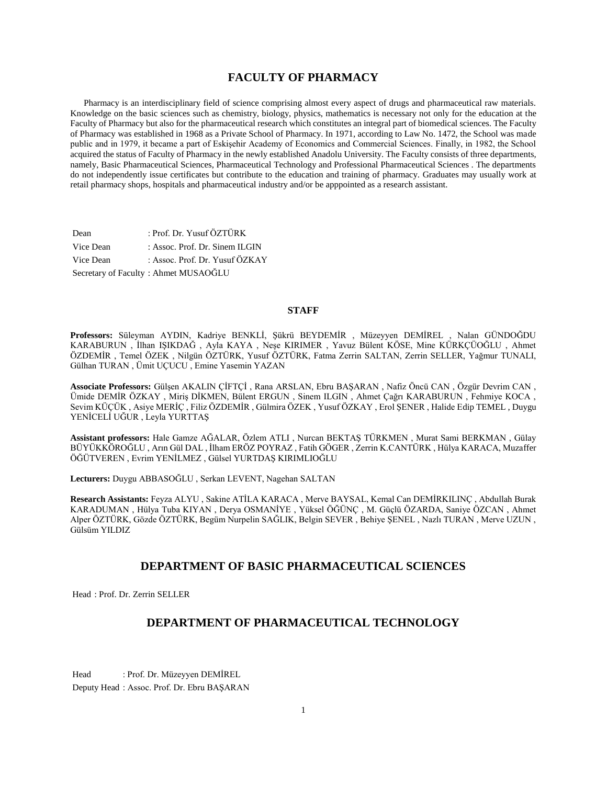## **FACULTY OF PHARMACY**

 Pharmacy is an interdisciplinary field of science comprising almost every aspect of drugs and pharmaceutical raw materials. Knowledge on the basic sciences such as chemistry, biology, physics, mathematics is necessary not only for the education at the Faculty of Pharmacy but also for the pharmaceutical research which constitutes an integral part of biomedical sciences. The Faculty of Pharmacy was established in 1968 as a Private School of Pharmacy. In 1971, according to Law No. 1472, the School was made public and in 1979, it became a part of Eskişehir Academy of Economics and Commercial Sciences. Finally, in 1982, the School acquired the status of Faculty of Pharmacy in the newly established Anadolu University. The Faculty consists of three departments, namely, Basic Pharmaceutical Sciences, Pharmaceutical Technology and Professional Pharmaceutical Sciences . The departments do not independently issue certificates but contribute to the education and training of pharmacy. Graduates may usually work at retail pharmacy shops, hospitals and pharmaceutical industry and/or be apppointed as a research assistant.

| Dean      | : Prof. Dr. Yusuf ÖZTÜRK             |
|-----------|--------------------------------------|
| Vice Dean | : Assoc. Prof. Dr. Sinem ILGIN       |
| Vice Dean | : Assoc. Prof. Dr. Yusuf ÖZKAY       |
|           | Secretary of Faculty: Ahmet MUSAOĞLU |

## **STAFF**

**Professors:** Süleyman AYDIN, Kadriye BENKLİ, Şükrü BEYDEMİR , Müzeyyen DEMİREL , Nalan GÜNDOĞDU KARABURUN , İlhan IŞIKDAĞ , Ayla KAYA , Neşe KIRIMER , Yavuz Bülent KÖSE, Mine KÜRKÇÜOĞLU , Ahmet ÖZDEMİR , Temel ÖZEK , Nilgün ÖZTÜRK, Yusuf ÖZTÜRK, Fatma Zerrin SALTAN, Zerrin SELLER, Yağmur TUNALI, Gülhan TURAN , Ümit UÇUCU , Emine Yasemin YAZAN

**Associate Professors:** Gülşen AKALIN ÇİFTÇİ , Rana ARSLAN, Ebru BAŞARAN , Nafiz Öncü CAN , Özgür Devrim CAN , Ümide DEMİR ÖZKAY , Miriş DİKMEN, Bülent ERGUN , Sinem ILGIN , Ahmet Çağrı KARABURUN , Fehmiye KOCA , Sevim KÜÇÜK , Asiye MERİÇ , Filiz ÖZDEMİR , Gülmira ÖZEK , Yusuf ÖZKAY , Erol ŞENER , Halide Edip TEMEL , Duygu YENİCELİ UĞUR , Leyla YURTTAŞ

**Assistant professors:** Hale Gamze AĞALAR, Özlem ATLI , Nurcan BEKTAŞ TÜRKMEN , Murat Sami BERKMAN , Gülay BÜYÜKKÖROĞLU , Arın Gül DAL , İlham ERÖZ POYRAZ , Fatih GÖGER , Zerrin K.CANTÜRK , Hülya KARACA, Muzaffer ÖĞÜTVEREN , Evrim YENİLMEZ , Gülsel YURTDAŞ KIRIMLIOĞLU

**Lecturers:** Duygu ABBASOĞLU , Serkan LEVENT, Nagehan SALTAN

**Research Assistants:** Feyza ALYU , Sakine ATİLA KARACA , Merve BAYSAL, Kemal Can DEMİRKILINÇ , Abdullah Burak KARADUMAN , Hülya Tuba KIYAN , Derya OSMANİYE , Yüksel ÖĞÜNÇ , M. Güçlü ÖZARDA, Saniye ÖZCAN , Ahmet Alper ÖZTÜRK, Gözde ÖZTÜRK, Begüm Nurpelin SAĞLIK, Belgin SEVER , Behiye ŞENEL , Nazlı TURAN , Merve UZUN , Gülsüm YILDIZ

## **DEPARTMENT OF BASIC PHARMACEUTICAL SCIENCES**

Head : Prof. Dr. Zerrin SELLER

## **DEPARTMENT OF PHARMACEUTICAL TECHNOLOGY**

Head : Prof. Dr. Müzeyyen DEMİREL Deputy Head : Assoc. Prof. Dr. Ebru BAŞARAN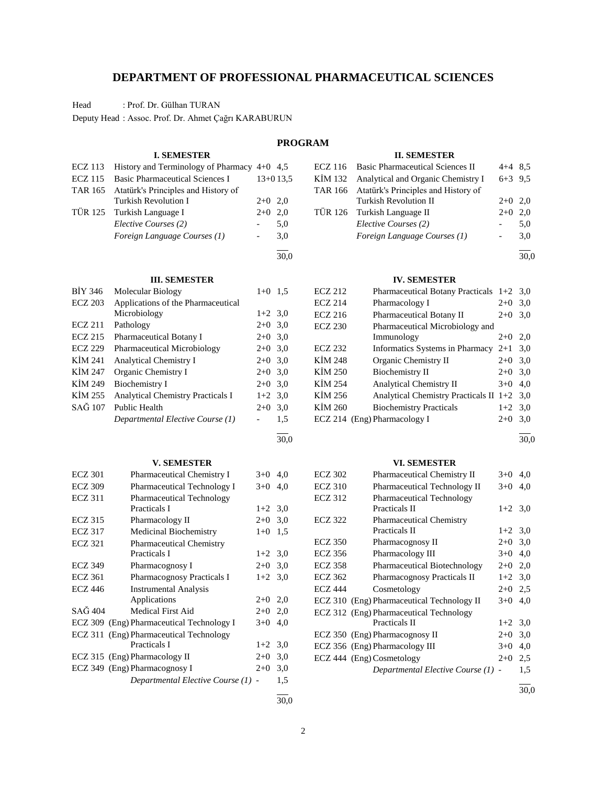## **DEPARTMENT OF PROFESSIONAL PHARMACEUTICAL SCIENCES**

Head : Prof. Dr. Gülhan TURAN

Deputy Head : Assoc. Prof. Dr. Ahmet Çağrı KARABURUN

#### **PROGRAM I. SEMESTER** ECZ 113 History and Terminology of Pharmacy 4+0 4,5 ECZ 115 Basic Pharmaceutical Sciences I 13+0 13,5 TAR 165 Atatürk's Principles and History of Turkish Revolution I 2+0 2,0 TÜR 125 Turkish Language I 2+0 2,0 *Elective Courses (2)* - 5,0 *Foreign Language Courses (1)* - 3,0 l 30,0 **II. SEMESTER** ECZ 116 Basic Pharmaceutical Sciences II 4+4 8,5 KİM 132 Analytical and Organic Chemistry I  $6+3$  9,5 TAR 166 Atatürk's Principles and History of Turkish Revolution II 2+0 2,0 TÜR 126 Turkish Language II  $2+0$  2,0 *Elective Courses (2)* - 5,0 *Foreign Language Courses (1)* - 3,0 l 30,0 **III. SEMESTER** BİY 346 Molecular Biology  $1+0$  1,5 ECZ 203 Applications of the Pharmaceutical Microbiology 1+2 3,0 ECZ 211 Pathology  $2+0$  3,0 ECZ 215 Pharmaceutical Botany I 2+0 3,0 ECZ 229 Pharmaceutical Microbiology 2+0 3,0 KİM 241 Analytical Chemistry I  $2+0$  3,0 KİM 247 Organic Chemistry I 2+0 3,0 KİM 249 Biochemistry I  $2+0$  3,0 KİM 255 Analytical Chemistry Practicals I  $1+2$  3,0  $SA\ddot{G}$  107 Public Health 2+0 3,0 *Departmental Elective Course (1)* - 1,5 l 30,0 **IV. SEMESTER** ECZ 212 Pharmaceutical Botany Practicals 1+2 3,0 ECZ 214 Pharmacology I  $2+0$  3,0 ECZ 216 Pharmaceutical Botany II  $2+0$  3,0 ECZ 230 Pharmaceutical Microbiology and Immunology 2+0 2,0 ECZ 232 Informatics Systems in Pharmacy 2+1 3,0 KİM 248 Organic Chemistry II 2+0 3,0 KİM 250 Biochemistry II  $2+0$  3,0 KİM 254 Analytical Chemistry II  $3+0$  4,0 KİM 256 Analytical Chemistry Practicals II 1+2 3,0 KİM 260 Biochemistry Practicals 1+2 3,0 ECZ 214 (Eng) Pharmacology I  $2+0$  3,0 l  $\frac{1}{30.0}$ **V. SEMESTER** ECZ 301 Pharmaceutical Chemistry I  $3+0$  4,0 ECZ 309 Pharmaceutical Technology I  $3+0$  4,0 ECZ 311 Pharmaceutical Technology Practicals I  $1+2$  3.0 ECZ 315 Pharmacology II  $2+0$  3,0 ECZ 317 Medicinal Biochemistry 1+0 1,5 ECZ 321 Pharmaceutical Chemistry Practicals I 1+2 3,0 ECZ 349 Pharmacognosy I  $2+0$  3,0 ECZ 361 Pharmacognosy Practicals I 1+2 3,0 ECZ 446 Instrumental Analysis Applications 2+0 2,0 SAĞ 404 Medical First Aid 2+0 2,0 ECZ 309 (Eng) Pharmaceutical Technology I  $3+0$  4,0 ECZ 311 (Eng) Pharmaceutical Technology Practicals I  $1+2$  3,0 ECZ 315 (Eng) Pharmacology II  $2+0$  3,0 ECZ 349 (Eng) Pharmacognosy I 2+0 3,0 *Departmental Elective Course (1)* - 1,5 **VI. SEMESTER** ECZ 302 Pharmaceutical Chemistry II  $3+0$  4,0 ECZ 310 Pharmaceutical Technology II  $3+0$  4,0 ECZ 312 Pharmaceutical Technology Practicals II  $1+2$  3,0 ECZ 322 Pharmaceutical Chemistry Practicals II  $1+2$  3,0 ECZ 350 Pharmacognosy II  $2+0$  3,0 ECZ 356 Pharmacology III  $3+0$  4,0 ECZ 358 Pharmaceutical Biotechnology 2+0 2,0 ECZ 362 Pharmacognosy Practicals II 1+2 3,0 ECZ 444 Cosmetology  $2+0$  2,5 ECZ 310 (Eng) Pharmaceutical Technology II  $3+0$  4,0 ECZ 312 (Eng) Pharmaceutical Technology Practicals II  $1+2$  3,0 ECZ 350 (Eng) Pharmacognosy II  $2+0$  3,0 ECZ 356 (Eng) Pharmacology III  $3+0$  4,0 ECZ 444 (Eng) Cosmetology  $2+0$  2,5 *Departmental Elective Course (1)* - 1,5 l

 $\frac{1}{30.0}$ 

l

 $\frac{1}{30.0}$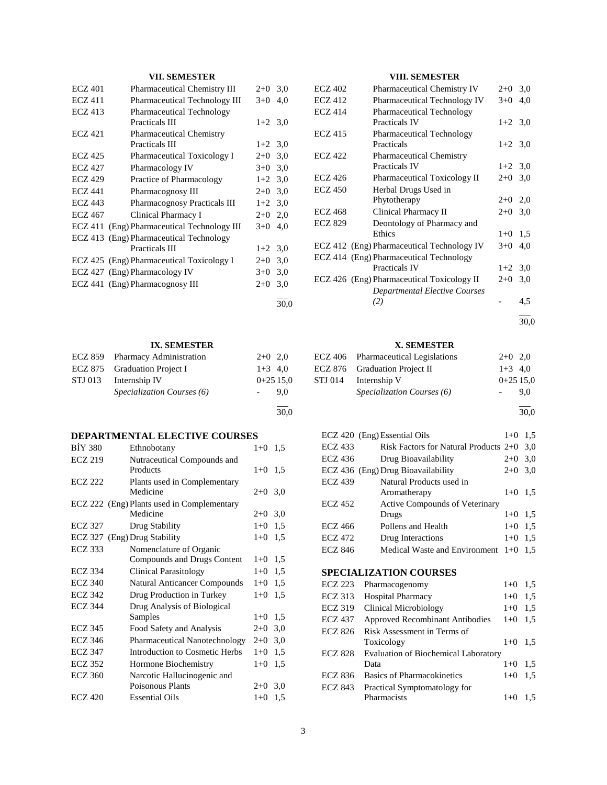## **VII. SEMESTER**

| <b>ECZ 401</b> | Pharmaceutical Chemistry III                | $2+0$     | 3,0 |
|----------------|---------------------------------------------|-----------|-----|
| <b>ECZ 411</b> | <b>Pharmaceutical Technology III</b>        | $3+0$     | 4,0 |
| <b>ECZ</b> 413 | <b>Pharmaceutical Technology</b>            |           |     |
|                | Practicals III                              | $1+2$ 3.0 |     |
| ECZ 421        | <b>Pharmaceutical Chemistry</b>             |           |     |
|                | Practicals III                              | $1+2$ 3.0 |     |
| <b>ECZ 425</b> | Pharmaceutical Toxicology I                 | $2+0$     | 3,0 |
| <b>ECZ 427</b> | Pharmacology IV                             | $3+0$     | 3,0 |
| <b>ECZ 429</b> | Practice of Pharmacology                    | $1+2$ 3.0 |     |
| <b>ECZ 441</b> | Pharmacognosy III                           | $2+0$     | 3,0 |
| <b>ECZ 443</b> | <b>Pharmacognosy Practicals III</b>         | $1+2$ 3.0 |     |
| <b>ECZ 467</b> | Clinical Pharmacy I                         | $2+0$     | 2,0 |
|                | ECZ 411 (Eng) Pharmaceutical Technology III | $3+0$     | 4.0 |
|                | ECZ 413 (Eng) Pharmaceutical Technology     |           |     |
|                | <b>Practicals III</b>                       | $1+2$ 3.0 |     |
|                | ECZ 425 (Eng) Pharmaceutical Toxicology I   | $2+0$     | 3,0 |
|                | ECZ 427 (Eng) Pharmacology IV               | $3+0$     | 3,0 |
|                | ECZ 441 (Eng) Pharmacognosy III             | $2+0$     | 3,0 |
|                |                                             |           |     |

## **IX. SEMESTER**

|         | ECZ 859 Pharmacy Administration | $2+0$ 2.0  |
|---------|---------------------------------|------------|
|         | ECZ 875 Graduation Project I    | $1+3$ 4.0  |
| STJ 013 | Internship IV                   | $0+2515.0$ |
|         | Specialization Courses (6)      | 9.0        |
|         |                                 |            |

## **DEPARTMENTAL ELECTIVE COURSES**

| Ethnobotany                                |                             | 1,5                             |
|--------------------------------------------|-----------------------------|---------------------------------|
| Nutraceutical Compounds and                |                             |                                 |
| Products                                   |                             | 1.5                             |
| Plants used in Complementary               |                             |                                 |
| Medicine                                   |                             |                                 |
| ECZ 222 (Eng) Plants used in Complementary |                             |                                 |
| Medicine                                   | $2+0$                       | 3,0                             |
| ECZ 327<br>Drug Stability                  | $1+0$                       | 1,5                             |
| ECZ 327 (Eng) Drug Stability               | $1+0$                       | 1,5                             |
| Nomenclature of Organic                    |                             |                                 |
| Compounds and Drugs Content                | $1 + 0$                     | 1,5                             |
| <b>Clinical Parasitology</b>               | $1+0$                       | 1,5                             |
| <b>Natural Anticancer Compounds</b>        | $1+0$                       | 1,5                             |
| Drug Production in Turkey                  | $1 + 0$                     | 1.5                             |
| Drug Analysis of Biological                |                             |                                 |
| Samples                                    | $1+0$                       | 1,5                             |
| Food Safety and Analysis                   | $2+0$                       | 3,0                             |
| Pharmaceutical Nanotechnology              | $2+0$                       | 3,0                             |
| Introduction to Cosmetic Herbs             | $1+0$                       | 1,5                             |
| Hormone Biochemistry                       | $1 + 0$                     | 1.5                             |
|                                            |                             |                                 |
| Poisonous Plants                           | $2+0$                       | 3,0                             |
| <b>Essential Oils</b>                      | $1 + 0$                     | 1,5                             |
|                                            | Narcotic Hallucinogenic and | $1 + 0$<br>$1 + 0$<br>$2+0$ 3,0 |

## **VIII. SEMESTER**

| <b>ECZ 402</b> | <b>Pharmaceutical Chemistry IV</b>                       | $2+0$     | 3,0 |
|----------------|----------------------------------------------------------|-----------|-----|
| <b>ECZ 412</b> | Pharmaceutical Technology IV                             | $3+0$     | 4.0 |
| <b>ECZ 414</b> | <b>Pharmaceutical Technology</b><br><b>Practicals IV</b> | $1+2$ 3,0 |     |
| <b>ECZ 415</b> | <b>Pharmaceutical Technology</b><br>Practicals           | $1+2$ 3,0 |     |
| <b>ECZ 422</b> | <b>Pharmaceutical Chemistry</b><br><b>Practicals IV</b>  | $1+2$ 3,0 |     |
| <b>ECZ 426</b> | <b>Pharmaceutical Toxicology II</b>                      | $2+0$     | 3,0 |
| <b>ECZ 450</b> | Herbal Drugs Used in                                     |           |     |
|                | Phytotherapy                                             | $2+0$     | 2,0 |
| <b>ECZ 468</b> | Clinical Pharmacy II                                     | $2+0$     | 3,0 |
| <b>ECZ 829</b> | Deontology of Pharmacy and<br>Ethics                     | $1 + 0$   | 1,5 |
|                | ECZ 412 (Eng) Pharmaceutical Technology IV               | $3+0$     | 4,0 |
|                | ECZ 414 (Eng) Pharmaceutical Technology                  |           |     |
|                | <b>Practicals IV</b>                                     | $1+2$     | 3,0 |
|                | ECZ 426 (Eng) Pharmaceutical Toxicology II               | $2+0$     | 3,0 |
|                | Departmental Elective Courses                            |           |     |
|                | (2)                                                      |           | 4,5 |
|                |                                                          |           |     |

30,0

## **X. SEMESTER**

| ECZ 406 Pharmaceutical Legislations | $2+0$ 2.0  |     |
|-------------------------------------|------------|-----|
| ECZ 876 Graduation Project II       | $1+3$ 4.0  |     |
| STJ 014 Internship V                | $0+2515.0$ |     |
| <i>Specialization Courses</i> (6)   |            | 9.0 |

l 30,0

|                | ECZ 420 (Eng) Essential Oils            | $1+0$ | 1.5 |
|----------------|-----------------------------------------|-------|-----|
| <b>ECZ 433</b> | Risk Factors for Natural Products $2+0$ |       | 3.0 |
| ECZ 436        | Drug Bioavailability                    | $2+0$ | 3,0 |
|                | ECZ 436 (Eng) Drug Bioavailability      | $2+0$ | 3,0 |
| <b>ECZ 439</b> | Natural Products used in                |       |     |
|                | Aromatherapy                            | $1+0$ | 1.5 |
| <b>ECZ 452</b> | <b>Active Compounds of Veterinary</b>   |       |     |
|                | Drugs                                   | $1+0$ | 1.5 |
| ECZ 466        | Pollens and Health                      | $1+0$ | 1.5 |
| ECZ 472        | Drug Interactions                       | $1+0$ | 1.5 |
| ECZ 846        | Medical Waste and Environment $1+0$     |       | 1.5 |
|                |                                         |       |     |

## **SPECIALIZATION COURSES**

| ECZ 223        | Pharmacogenomy                              | $1+0$ | 1.5 |
|----------------|---------------------------------------------|-------|-----|
| <b>ECZ 313</b> | <b>Hospital Pharmacy</b>                    | $1+0$ | 1,5 |
| <b>ECZ 319</b> | Clinical Microbiology                       | $1+0$ | 1.5 |
| <b>ECZ 437</b> | <b>Approved Recombinant Antibodies</b>      | $1+0$ | 1.5 |
| <b>ECZ 826</b> | Risk Assessment in Terms of                 |       |     |
|                | Toxicology                                  | $1+0$ | 1,5 |
| <b>ECZ 828</b> | <b>Evaluation of Biochemical Laboratory</b> |       |     |
|                | Data                                        | $1+0$ | 1,5 |
| <b>ECZ 836</b> | <b>Basics of Pharmacokinetics</b>           | $1+0$ | 1,5 |
| <b>ECZ 843</b> | Practical Symptomatology for                |       |     |
|                | Pharmacists                                 | $1+0$ |     |

30,0

30,0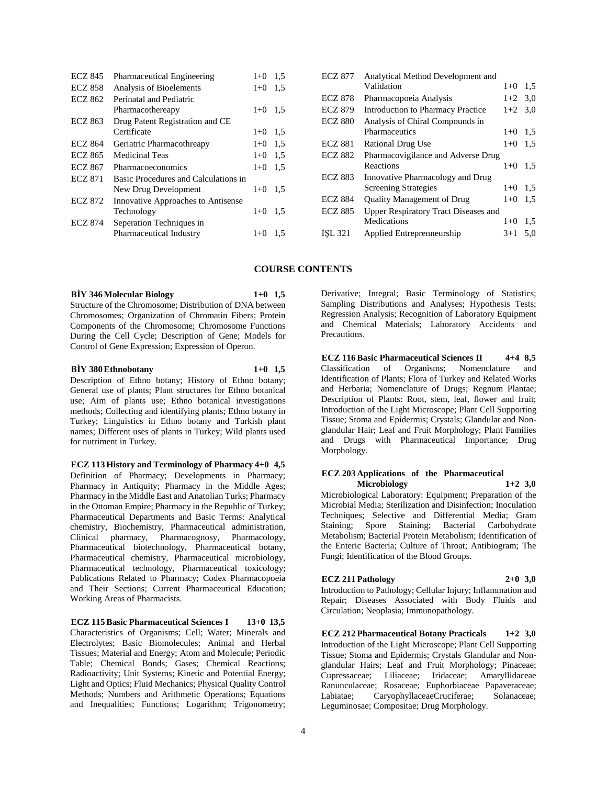| <b>ECZ 845</b> | Pharmaceutical Engineering           | $1+0$   | 1,5 |
|----------------|--------------------------------------|---------|-----|
| <b>ECZ 858</b> | Analysis of Bioelements              | $1+0$   | 1.5 |
| <b>ECZ 862</b> | Perinatal and Pediatric              |         |     |
|                | Pharmacothereapy                     | $1+0$   | 1,5 |
| ECZ 863        | Drug Patent Registration and CE      |         |     |
|                | Certificate                          | $1+0$   | 1,5 |
| <b>ECZ 864</b> | Geriatric Pharmacothreapy            | $1+0$   | 1.5 |
| <b>ECZ 865</b> | <b>Medicinal Teas</b>                | $1 + 0$ | 1.5 |
| <b>ECZ 867</b> | Pharmacoeconomics                    | $1+0$   | 1,5 |
| <b>ECZ 871</b> | Basic Procedures and Calculations in |         |     |
|                | New Drug Development                 | $1 + 0$ | 1,5 |
| <b>ECZ 872</b> | Innovative Approaches to Antisense   |         |     |
|                | Technology                           | $1 + 0$ | 1,5 |
| <b>ECZ 874</b> | Seperation Techniques in             |         |     |
|                | Pharmaceutical Industry              | $1+0$   | 1,5 |
|                |                                      |         |     |

| <b>ECZ 877</b> | Analytical Method Development and           |           |     |
|----------------|---------------------------------------------|-----------|-----|
|                | Validation                                  | $1 + 0$   | 1.5 |
| <b>ECZ 878</b> | Pharmacopoeia Analysis                      | $1+2$ 3.0 |     |
| <b>ECZ 879</b> | <b>Introduction to Pharmacy Practice</b>    | $1+2$ 3.0 |     |
| <b>ECZ 880</b> | Analysis of Chiral Compounds in             |           |     |
|                | Pharmaceutics                               | $1+0$     | 1,5 |
| <b>ECZ 881</b> | Rational Drug Use                           | $1+0$     | 1,5 |
| <b>ECZ 882</b> | Pharmacovigilance and Adverse Drug          |           |     |
|                | Reactions                                   | $1+0$     | 1,5 |
| <b>ECZ 883</b> | Innovative Pharmacology and Drug            |           |     |
|                | <b>Screening Strategies</b>                 | $1+0$     | 1.5 |
| <b>ECZ 884</b> | <b>Ouality Management of Drug</b>           | $1+0$     | 1,5 |
| <b>ECZ 885</b> | <b>Upper Respiratory Tract Diseases and</b> |           |     |
|                | Medications                                 | $1+0$     | 1,5 |
| ISL 321        | Applied Entreprenneurship                   | $3+1$     | 5,0 |
|                |                                             |           |     |

### **COURSE CONTENTS**

## **BİY 346 Molecular Biology 1+0 1,5**

Structure of the Chromosome; Distribution of DNA between Chromosomes; Organization of Chromatin Fibers; Protein Components of the Chromosome; Chromosome Functions During the Cell Cycle; Description of Gene; Models for Control of Gene Expression; Expression of Operon.

#### **BİY 380 Ethnobotany 1+0 1,5**

Description of Ethno botany; History of Ethno botany; General use of plants; Plant structures for Ethno botanical use; Aim of plants use; Ethno botanical investigations methods; Collecting and identifying plants; Ethno botany in Turkey; Linguistics in Ethno botany and Turkish plant names; Different uses of plants in Turkey; Wild plants used for nutriment in Turkey.

**ECZ 113 History and Terminology of Pharmacy 4+0 4,5** Definition of Pharmacy; Developments in Pharmacy; Pharmacy in Antiquity; Pharmacy in the Middle Ages; Pharmacy in the Middle East and Anatolian Turks; Pharmacy in the Ottoman Empire; Pharmacy in the Republic of Turkey; Pharmaceutical Departments and Basic Terms: Analytical chemistry, Biochemistry, Pharmaceutical administration, Clinical pharmacy, Pharmacognosy, Pharmacology, Pharmaceutical biotechnology, Pharmaceutical botany, Pharmaceutical chemistry, Pharmaceutical microbiology, Pharmaceutical technology, Pharmaceutical toxicology; Publications Related to Pharmacy; Codex Pharmacopoeia and Their Sections; Current Pharmaceutical Education; Working Areas of Pharmacists.

**ECZ 115 Basic Pharmaceutical Sciences I 13+0 13,5** Characteristics of Organisms; Cell; Water; Minerals and Electrolytes; Basic Biomolecules; Animal and Herbal Tissues; Material and Energy; Atom and Molecule; Periodic Table; Chemical Bonds; Gases; Chemical Reactions; Radioactivity; Unit Systems; Kinetic and Potential Energy; Light and Optics; Fluid Mechanics; Physical Quality Control Methods: Numbers and Arithmetic Operations: Equations and Inequalities; Functions; Logarithm; Trigonometry;

Derivative; Integral; Basic Terminology of Statistics; Sampling Distributions and Analyses; Hypothesis Tests; Regression Analysis; Recognition of Laboratory Equipment and Chemical Materials; Laboratory Accidents and Precautions.

**ECZ 116 Basic Pharmaceutical Sciences II 4+4 8,5** Classification of Organisms; Nomenclature and Identification of Plants; Flora of Turkey and Related Works and Herbaria; Nomenclature of Drugs; Regnum Plantae; Description of Plants: Root, stem, leaf, flower and fruit; Introduction of the Light Microscope; Plant Cell Supporting Tissue; Stoma and Epidermis; Crystals; Glandular and Nonglandular Hair; Leaf and Fruit Morphology; Plant Families and Drugs with Pharmaceutical Importance; Drug Morphology.

#### **ECZ 203 Applications of the Pharmaceutical Microbiology 1+2 3,0**

Microbiological Laboratory: Equipment; Preparation of the Microbial Media; Sterilization and Disinfection; Inoculation Techniques; Selective and Differential Media; Gram Staining; Spore Staining; Bacterial Carbohydrate Metabolism; Bacterial Protein Metabolism; Identification of the Enteric Bacteria; Culture of Throat; Antibiogram; The Fungi; Identification of the Blood Groups.

#### **ECZ 211 Pathology 2+0 3,0**

Introduction to Pathology; Cellular Injury; Inflammation and Repair; Diseases Associated with Body Fluids and Circulation; Neoplasia; Immunopathology.

**ECZ 212 Pharmaceutical Botany Practicals 1+2 3,0** Introduction of the Light Microscope; Plant Cell Supporting Tissue; Stoma and Epidermis; Crystals Glandular and Nonglandular Hairs; Leaf and Fruit Morphology; Pinaceae; Cupressaceae; Liliaceae; Ranunculaceae; Rosaceae; Euphorbiaceae Papaveraceae; Labiatae; CaryophyllaceaeCruciferae; Solanaceae; Leguminosae; Compositae; Drug Morphology.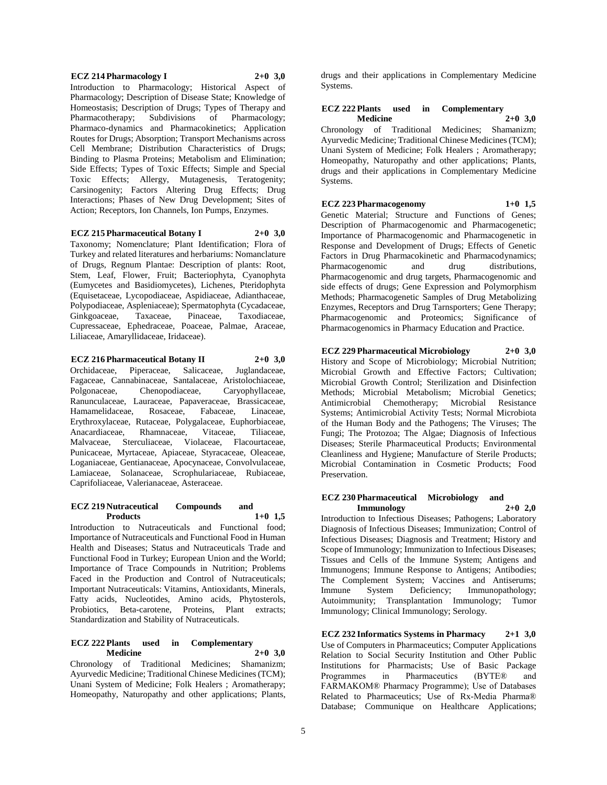### **ECZ 214 Pharmacology I 2+0 3,0** Introduction to Pharmacology; Historical Aspect of Pharmacology; Description of Disease State; Knowledge of Homeostasis; Description of Drugs; Types of Therapy and Pharmacotherapy; Subdivisions of Pharmacology; Pharmaco-dynamics and Pharmacokinetics; Application Routes for Drugs; Absorption; Transport Mechanisms across Cell Membrane; Distribution Characteristics of Drugs; Binding to Plasma Proteins; Metabolism and Elimination; Side Effects; Types of Toxic Effects; Simple and Special Toxic Effects; Allergy, Mutagenesis, Teratogenity; Carsinogenity; Factors Altering Drug Effects; Drug Interactions; Phases of New Drug Development; Sites of

Action; Receptors, Ion Channels, Ion Pumps, Enzymes.

**ECZ 215 Pharmaceutical Botany I 2+0 3,0** Taxonomy; Nomenclature; Plant Identification; Flora of Turkey and related literatures and herbariums: Nomanclature of Drugs, Regnum Plantae: Description of plants: Root, Stem, Leaf, Flower, Fruit; Bacteriophyta, Cyanophyta (Eumycetes and Basidiomycetes), Lichenes, Pteridophyta (Equisetaceae, Lycopodiaceae, Aspidiaceae, Adianthaceae, Polypodiaceae, Aspleniaceae); Spermatophyta (Cycadaceae, Ginkgoaceae, Taxaceae, Pinaceae, Taxodiaceae, Cupressaceae, Ephedraceae, Poaceae, Palmae, Araceae, Liliaceae, Amaryllidaceae, Iridaceae).

**ECZ 216 Pharmaceutical Botany II 2+0 3,0** Orchidaceae, Piperaceae, Salicaceae, Juglandaceae, Fagaceae, Cannabinaceae, Santalaceae, Aristolochiaceae, Polgonaceae, Chenopodiaceae, Caryophyllaceae, Ranunculaceae, Lauraceae, Papaveraceae, Brassicaceae, Hamamelidaceae, Rosaceae, Fabaceae, Linaceae, Erythroxylaceae, Rutaceae, Polygalaceae, Euphorbiaceae, Anacardiaceae, Rhamnaceae, Vitaceae, Tiliaceae, Malvaceae, Sterculiaceae, Violaceae, Flacourtaceae, Punicaceae, Myrtaceae, Apiaceae, Styracaceae, Oleaceae, Loganiaceae, Gentianaceae, Apocynaceae, Convolvulaceae, Lamiaceae, Solanaceae, Scrophulariaceae, Rubiaceae, Caprifoliaceae, Valerianaceae, Asteraceae.

#### **ECZ 219 Nutraceutical Compounds and Products 1+0 1,5**

Introduction to Nutraceuticals and Functional food; Importance of Nutraceuticals and Functional Food in Human Health and Diseases; Status and Nutraceuticals Trade and Functional Food in Turkey; European Union and the World; Importance of Trace Compounds in Nutrition; Problems Faced in the Production and Control of Nutraceuticals; Important Nutraceuticals: Vitamins, Antioxidants, Minerals, Fatty acids, Nucleotides, Amino acids, Phytosterols, Probiotics, Beta-carotene, Proteins, Plant extracts; Standardization and Stability of Nutraceuticals.

#### **ECZ 222 Plants used in Complementary Medicine 2+0 3,0**

Chronology of Traditional Medicines; Shamanizm; Ayurvedic Medicine; Traditional Chinese Medicines (TCM); Unani System of Medicine; Folk Healers ; Aromatherapy; Homeopathy, Naturopathy and other applications; Plants,

drugs and their applications in Complementary Medicine Systems.

#### **ECZ 222 Plants used in Complementary Medicine 2+0 3,0**

Chronology of Traditional Medicines; Shamanizm; Ayurvedic Medicine; Traditional Chinese Medicines (TCM); Unani System of Medicine; Folk Healers ; Aromatherapy; Homeopathy, Naturopathy and other applications; Plants, drugs and their applications in Complementary Medicine Systems.

# **ECZ 223 Pharmacogenomy 1+0 1,5**

Genetic Material; Structure and Functions of Genes; Description of Pharmacogenomic and Pharmacogenetic; Importance of Pharmacogenomic and Pharmacogenetic in Response and Development of Drugs; Effects of Genetic Factors in Drug Pharmacokinetic and Pharmacodynamics; Pharmacogenomic and drug distributions, Pharmacogenomic and drug targets, Pharmacogenomic and side effects of drugs; Gene Expression and Polymorphism Methods; Pharmacogenetic Samples of Drug Metabolizing Enzymes, Receptors and Drug Tarnsporters; Gene Therapy; Pharmacogenomic and Proteomics; Significance of Pharmacogenomics in Pharmacy Education and Practice.

## **ECZ 229 Pharmaceutical Microbiology 2+0 3,0**

History and Scope of Microbiology; Microbial Nutrition; Microbial Growth and Effective Factors; Cultivation; Microbial Growth Control; Sterilization and Disinfection Methods; Microbial Metabolism; Microbial Genetics; Antimicrobial Chemotherapy; Microbial Resistance Systems; Antimicrobial Activity Tests; Normal Microbiota of the Human Body and the Pathogens; The Viruses; The Fungi; The Protozoa; The Algae; Diagnosis of Infectious Diseases; Sterile Pharmaceutical Products; Environmental Cleanliness and Hygiene; Manufacture of Sterile Products; Microbial Contamination in Cosmetic Products; Food Preservation.

#### **ECZ 230 Pharmaceutical Microbiology and Immunology 2+0 2,0**

Introduction to Infectious Diseases; Pathogens; Laboratory Diagnosis of Infectious Diseases; Immunization; Control of Infectious Diseases; Diagnosis and Treatment; History and Scope of Immunology; Immunization to Infectious Diseases; Tissues and Cells of the Immune System; Antigens and Immunogens; Immune Response to Antigens; Antibodies; The Complement System; Vaccines and Antiserums; Immune System Deficiency; Immunopathology; Autoimmunity; Transplantation Immunology; Tumor Immunology; Clinical Immunology; Serology.

**ECZ 232 Informatics Systems in Pharmacy 2+1 3,0** Use of Computers in Pharmaceutics; Computer Applications Relation to Social Security Institution and Other Public Institutions for Pharmacists; Use of Basic Package Programmes in Pharmaceutics (BYTE® and FARMAKOM® Pharmacy Programme); Use of Databases Related to Pharmaceutics; Use of Rx-Media Pharma® Database; Communique on Healthcare Applications;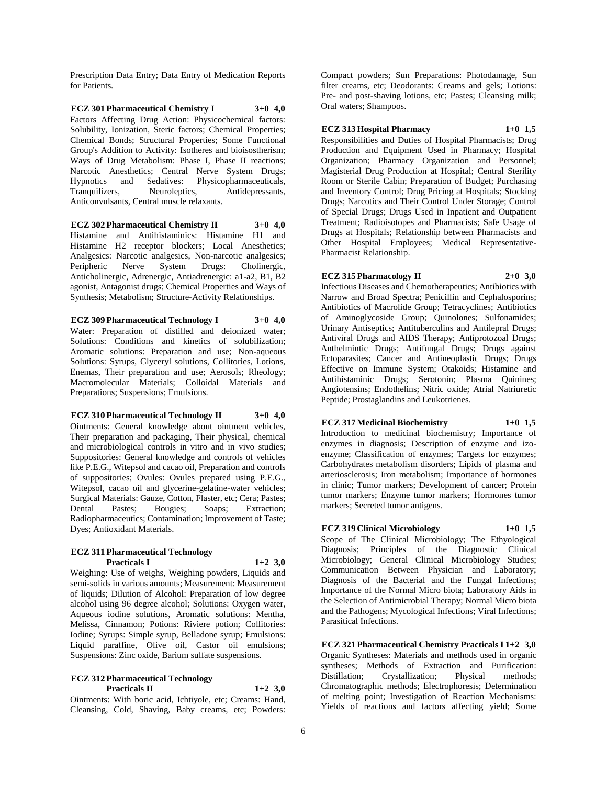Prescription Data Entry; Data Entry of Medication Reports for Patients.

**ECZ 301 Pharmaceutical Chemistry I 3+0 4,0** Factors Affecting Drug Action: Physicochemical factors: Solubility, Ionization, Steric factors; Chemical Properties; Chemical Bonds; Structural Properties; Some Functional Group's Addition to Activity: Isotheres and bioisostherism; Ways of Drug Metabolism: Phase I, Phase II reactions; Narcotic Anesthetics; Central Nerve System Drugs; Hypnotics and Sedatives: Physicopharmaceuticals, Tranquilizers, Neuroleptics, Antidepressants, Anticonvulsants, Central muscle relaxants.

**ECZ 302 Pharmaceutical Chemistry II 3+0 4,0** Histamine and Antihistaminics: Histamine H1 and Histamine H2 receptor blockers; Local Anesthetics; Analgesics: Narcotic analgesics, Non-narcotic analgesics; Peripheric Nerve System Drugs: Cholinergic, Anticholinergic, Adrenergic, Antiadrenergic: a1-a2, B1, B2 agonist, Antagonist drugs; Chemical Properties and Ways of Synthesis; Metabolism; Structure-Activity Relationships.

**ECZ 309 Pharmaceutical Technology I 3+0 4,0** Water: Preparation of distilled and deionized water; Solutions: Conditions and kinetics of solubilization; Aromatic solutions: Preparation and use; Non-aqueous Solutions: Syrups, Glyceryl solutions, Collitories, Lotions, Enemas, Their preparation and use; Aerosols; Rheology; Macromolecular Materials; Colloidal Materials and Preparations; Suspensions; Emulsions.

### **ECZ 310 Pharmaceutical Technology II 3+0 4,0**

Ointments: General knowledge about ointment vehicles, Their preparation and packaging, Their physical, chemical and microbiological controls in vitro and in vivo studies; Suppositories: General knowledge and controls of vehicles like P.E.G., Witepsol and cacao oil, Preparation and controls of suppositories; Ovules: Ovules prepared using P.E.G., Witepsol, cacao oil and glycerine-gelatine-water vehicles; Surgical Materials: Gauze, Cotton, Flaster, etc; Cera; Pastes; Dental Pastes; Bougies; Soaps; Extraction; Radiopharmaceutics; Contamination; Improvement of Taste; Dyes; Antioxidant Materials.

#### **ECZ 311 Pharmaceutical Technology Practicals I 1+2 3,0**

Weighing: Use of weighs, Weighing powders, Liquids and semi-solids in various amounts; Measurement: Measurement of liquids; Dilution of Alcohol: Preparation of low degree alcohol using 96 degree alcohol; Solutions: Oxygen water, Aqueous iodine solutions, Aromatic solutions: Mentha, Melissa, Cinnamon; Potions: Riviere potion; Collitories: Iodine; Syrups: Simple syrup, Belladone syrup; Emulsions: Liquid paraffine, Olive oil, Castor oil emulsions; Suspensions: Zinc oxide, Barium sulfate suspensions.

### **ECZ 312 Pharmaceutical Technology Practicals II 1+2 3,0**

Ointments: With boric acid, Ichtiyole, etc; Creams: Hand, Cleansing, Cold, Shaving, Baby creams, etc; Powders:

Compact powders; Sun Preparations: Photodamage, Sun filter creams, etc; Deodorants: Creams and gels; Lotions: Pre- and post-shaving lotions, etc; Pastes; Cleansing milk; Oral waters; Shampoos.

**ECZ 313 Hospital Pharmacy 1+0 1,5**

Responsibilities and Duties of Hospital Pharmacists; Drug Production and Equipment Used in Pharmacy; Hospital Organization; Pharmacy Organization and Personnel; Magisterial Drug Production at Hospital; Central Sterility Room or Sterile Cabin; Preparation of Budget; Purchasing and Inventory Control; Drug Pricing at Hospitals; Stocking Drugs; Narcotics and Their Control Under Storage; Control of Special Drugs; Drugs Used in Inpatient and Outpatient Treatment; Radioisotopes and Pharmacists; Safe Usage of Drugs at Hospitals; Relationship between Pharmacists and Other Hospital Employees; Medical Representative-Pharmacist Relationship.

## **ECZ 315 Pharmacology II 2+0 3,0**

Infectious Diseases and Chemotherapeutics; Antibiotics with Narrow and Broad Spectra; Penicillin and Cephalosporins; Antibiotics of Macrolide Group; Tetracyclines; Antibiotics of Aminoglycoside Group; Quinolones; Sulfonamides; Urinary Antiseptics; Antituberculins and Antilepral Drugs; Antiviral Drugs and AIDS Therapy; Antiprotozoal Drugs; Anthelmintic Drugs; Antifungal Drugs; Drugs against Ectoparasites; Cancer and Antineoplastic Drugs; Drugs Effective on Immune System; Otakoids; Histamine and Antihistaminic Drugs; Serotonin; Plasma Quinines; Angiotensins; Endothelins; Nitric oxide; Atrial Natriuretic Peptide; Prostaglandins and Leukotrienes.

#### **ECZ 317 Medicinal Biochemistry 1+0 1,5**

Introduction to medicinal biochemistry; Importance of enzymes in diagnosis; Description of enzyme and izoenzyme; Classification of enzymes; Targets for enzymes; Carbohydrates metabolism disorders; Lipids of plasma and arteriosclerosis; Iron metabolism; Importance of hormones in clinic; Tumor markers; Development of cancer; Protein tumor markers; Enzyme tumor markers; Hormones tumor markers; Secreted tumor antigens.

## **ECZ 319 Clinical Microbiology 1+0 1,5**

Scope of The Clinical Microbiology; The Ethyological Diagnosis; Principles of the Diagnostic Clinical Microbiology; General Clinical Microbiology Studies; Communication Between Physician and Laboratory; Diagnosis of the Bacterial and the Fungal Infections; Importance of the Normal Micro biota; Laboratory Aids in the Selection of Antimicrobial Therapy; Normal Micro biota and the Pathogens; Mycological Infections; Viral Infections; Parasitical Infections.

**ECZ 321 Pharmaceutical Chemistry Practicals I 1+2 3,0**

Organic Syntheses: Materials and methods used in organic syntheses; Methods of Extraction and Purification: Distillation; Crystallization; Physical methods; Chromatographic methods; Electrophoresis; Determination of melting point; Investigation of Reaction Mechanisms: Yields of reactions and factors affecting yield; Some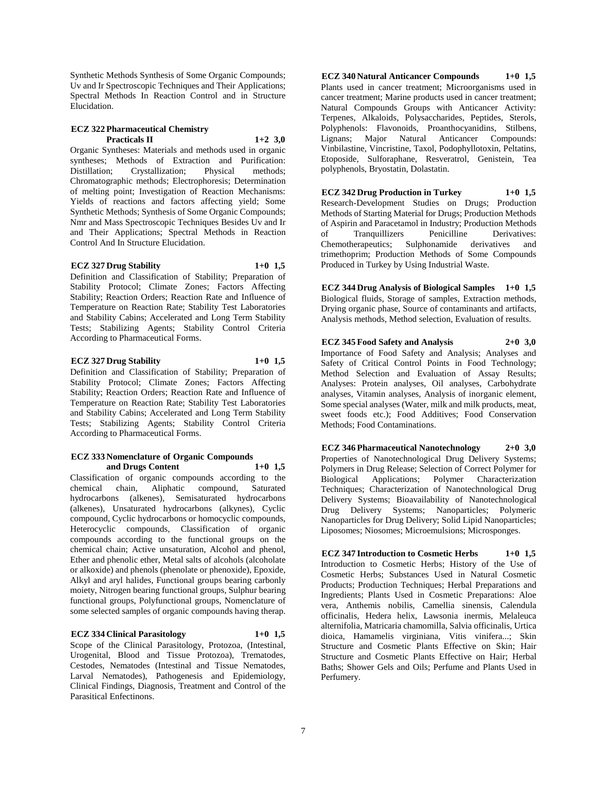Synthetic Methods Synthesis of Some Organic Compounds; Uv and Ir Spectroscopic Techniques and Their Applications; Spectral Methods In Reaction Control and in Structure Elucidation.

#### **ECZ 322 Pharmaceutical Chemistry Practicals II 1+2 3,0**

Organic Syntheses: Materials and methods used in organic syntheses; Methods of Extraction and Purification: Distillation; Crystallization; Physical methods; Chromatographic methods; Electrophoresis; Determination of melting point; Investigation of Reaction Mechanisms: Yields of reactions and factors affecting yield; Some Synthetic Methods; Synthesis of Some Organic Compounds; Nmr and Mass Spectroscopic Techniques Besides Uv and Ir and Their Applications; Spectral Methods in Reaction Control And In Structure Elucidation.

## **ECZ 327 Drug Stability 1+0 1,5**

Definition and Classification of Stability; Preparation of Stability Protocol; Climate Zones; Factors Affecting Stability; Reaction Orders; Reaction Rate and Influence of Temperature on Reaction Rate; Stability Test Laboratories and Stability Cabins; Accelerated and Long Term Stability Tests; Stabilizing Agents; Stability Control Criteria According to Pharmaceutical Forms.

## **ECZ 327 Drug Stability 1+0 1,5**

Definition and Classification of Stability; Preparation of Stability Protocol; Climate Zones; Factors Affecting Stability; Reaction Orders; Reaction Rate and Influence of Temperature on Reaction Rate; Stability Test Laboratories and Stability Cabins; Accelerated and Long Term Stability Tests; Stabilizing Agents; Stability Control Criteria According to Pharmaceutical Forms.

#### **ECZ 333 Nomenclature of Organic Compounds and Drugs Content 1+0 1,5**

Classification of organic compounds according to the chemical chain, Aliphatic compound, Saturated hydrocarbons (alkenes), Semisaturated hydrocarbons (alkenes), Unsaturated hydrocarbons (alkynes), Cyclic compound, Cyclic hydrocarbons or homocyclic compounds, Heterocyclic compounds, Classification of organic compounds according to the functional groups on the chemical chain; Active unsaturation, Alcohol and phenol, Ether and phenolic ether, Metal salts of alcohols (alcoholate or alkoxide) and phenols (phenolate or phenoxide), Epoxide, Alkyl and aryl halides, Functional groups bearing carbonly moiety, Nitrogen bearing functional groups, Sulphur bearing functional groups, Polyfunctional groups, Nomenclature of some selected samples of organic compounds having therap.

## **ECZ 334 Clinical Parasitology 1+0 1,5**

Scope of the Clinical Parasitology, Protozoa, (Intestinal, Urogenital, Blood and Tissue Protozoa), Trematodes, Cestodes, Nematodes (Intestinal and Tissue Nematodes, Larval Nematodes), Pathogenesis and Epidemiology, Clinical Findings, Diagnosis, Treatment and Control of the Parasitical Enfectinons.

**ECZ 340 Natural Anticancer Compounds 1+0 1,5** Plants used in cancer treatment; Microorganisms used in cancer treatment; Marine products used in cancer treatment; Natural Compounds Groups with Anticancer Activity: Terpenes, Alkaloids, Polysaccharides, Peptides, Sterols, Polyphenols: Flavonoids, Proanthocyanidins, Stilbens, Lignans; Major Natural Anticancer Compounds: Vinbilastine, Vincristine, Taxol, Podophyllotoxin, Peltatins, Etoposide, Sulforaphane, Resveratrol, Genistein, Tea polyphenols, Bryostatin, Dolastatin.

**ECZ 342 Drug Production in Turkey 1+0 1,5** Research-Development Studies on Drugs; Production Methods of Starting Material for Drugs; Production Methods of Aspirin and Paracetamol in Industry; Production Methods<br>of Tranquillizers Penicilline Derivatives: of Tranquillizers Penicilline Derivatives: Chemotherapeutics; Sulphonamide derivatives and trimethoprim; Production Methods of Some Compounds Produced in Turkey by Using Industrial Waste.

**ECZ 344 Drug Analysis of Biological Samples 1+0 1,5** Biological fluids, Storage of samples, Extraction methods, Drying organic phase, Source of contaminants and artifacts, Analysis methods, Method selection, Evaluation of results.

**ECZ 345 Food Safety and Analysis 2+0 3,0** Importance of Food Safety and Analysis; Analyses and Safety of Critical Control Points in Food Technology; Method Selection and Evaluation of Assay Results; Analyses: Protein analyses, Oil analyses, Carbohydrate analyses, Vitamin analyses, Analysis of inorganic element, Some special analyses (Water, milk and milk products, meat, sweet foods etc.); Food Additives; Food Conservation Methods; Food Contaminations.

**ECZ 346 Pharmaceutical Nanotechnology 2+0 3,0** Properties of Nanotechnological Drug Delivery Systems; Polymers in Drug Release; Selection of Correct Polymer for Biological Applications; Polymer Characterization Techniques; Characterization of Nanotechnological Drug Delivery Systems; Bioavailability of Nanotechnological Drug Delivery Systems; Nanoparticles; Polymeric Nanoparticles for Drug Delivery; Solid Lipid Nanoparticles; Liposomes; Niosomes; Microemulsions; Microsponges.

**ECZ 347 Introduction to Cosmetic Herbs 1+0 1,5** Introduction to Cosmetic Herbs; History of the Use of Cosmetic Herbs; Substances Used in Natural Cosmetic Products; Production Techniques; Herbal Preparations and Ingredients; Plants Used in Cosmetic Preparations: Aloe vera, Anthemis nobilis, Camellia sinensis, Calendula officinalis, Hedera helix, Lawsonia inermis, Melaleuca alternifolia, Matricaria chamomilla, Salvia officinalis, Urtica dioica, Hamamelis virginiana, Vitis vinifera...; Skin Structure and Cosmetic Plants Effective on Skin; Hair Structure and Cosmetic Plants Effective on Hair; Herbal Baths; Shower Gels and Oils; Perfume and Plants Used in Perfumery.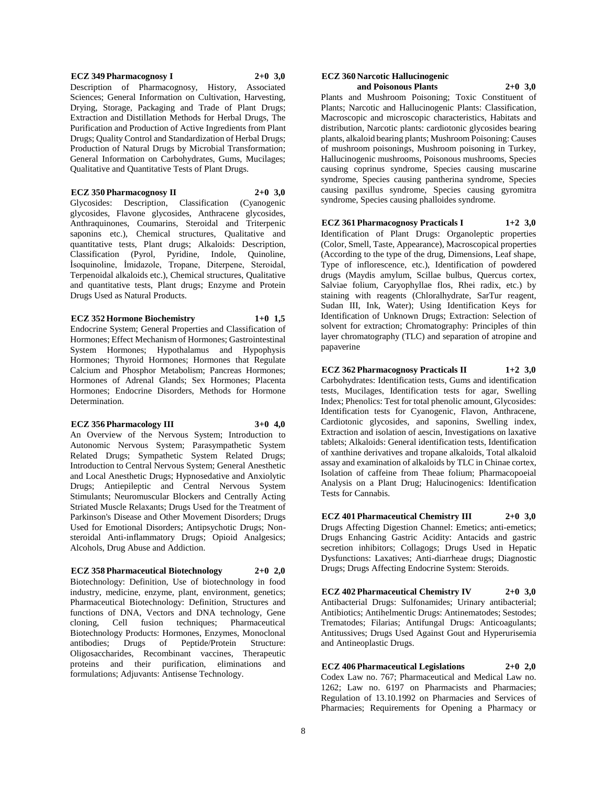#### **ECZ 349 Pharmacognosy I 2+0 3,0**

Description of Pharmacognosy, History, Associated Sciences: General Information on Cultivation, Harvesting, Drying, Storage, Packaging and Trade of Plant Drugs; Extraction and Distillation Methods for Herbal Drugs, The Purification and Production of Active Ingredients from Plant Drugs; Quality Control and Standardization of Herbal Drugs; Production of Natural Drugs by Microbial Transformation; General Information on Carbohydrates, Gums, Mucilages; Qualitative and Quantitative Tests of Plant Drugs.

### **ECZ 350 Pharmacognosy II 2+0 3,0**

Glycosides: Description, Classification (Cyanogenic glycosides, Flavone glycosides, Anthracene glycosides, Anthraquinones, Coumarins, Steroidal and Triterpenic saponins etc.), Chemical structures, Qualitative and quantitative tests, Plant drugs; Alkaloids: Description, Classification (Pyrol, Pyridine, Indole, Quinoline, İsoquinoline, İmidazole, Tropane, Diterpene, Steroidal, Terpenoidal alkaloids etc.), Chemical structures, Qualitative and quantitative tests, Plant drugs; Enzyme and Protein Drugs Used as Natural Products.

#### **ECZ 352 Hormone Biochemistry 1+0 1,5**

Endocrine System; General Properties and Classification of Hormones; Effect Mechanism of Hormones; Gastrointestinal System Hormones; Hypothalamus and Hypophysis Hormones; Thyroid Hormones; Hormones that Regulate Calcium and Phosphor Metabolism; Pancreas Hormones; Hormones of Adrenal Glands; Sex Hormones; Placenta Hormones; Endocrine Disorders, Methods for Hormone Determination.

#### **ECZ 356 Pharmacology III 3+0 4,0**

An Overview of the Nervous System; Introduction to Autonomic Nervous System; Parasympathetic System Related Drugs; Sympathetic System Related Drugs; Introduction to Central Nervous System; General Anesthetic and Local Anesthetic Drugs; Hypnosedative and Anxiolytic Drugs; Antiepileptic and Central Nervous System Stimulants; Neuromuscular Blockers and Centrally Acting Striated Muscle Relaxants; Drugs Used for the Treatment of Parkinson's Disease and Other Movement Disorders; Drugs Used for Emotional Disorders; Antipsychotic Drugs; Nonsteroidal Anti-inflammatory Drugs; Opioid Analgesics; Alcohols, Drug Abuse and Addiction.

## **ECZ 358 Pharmaceutical Biotechnology 2+0 2,0**

Biotechnology: Definition, Use of biotechnology in food industry, medicine, enzyme, plant, environment, genetics; Pharmaceutical Biotechnology: Definition, Structures and functions of DNA, Vectors and DNA technology, Gene cloning, Cell fusion techniques; Pharmaceutical Biotechnology Products: Hormones, Enzymes, Monoclonal antibodies; Drugs of Peptide/Protein Structure: Oligosaccharides, Recombinant vaccines, Therapeutic proteins and their purification, eliminations and formulations; Adjuvants: Antisense Technology.

#### **ECZ 360 Narcotic Hallucinogenic and Poisonous Plants 2+0 3,0**

Plants and Mushroom Poisoning; Toxic Constituent of Plants; Narcotic and Hallucinogenic Plants: Classification, Macroscopic and microscopic characteristics, Habitats and distribution, Narcotic plants: cardiotonic glycosides bearing plants, alkaloid bearing plants; Mushroom Poisoning: Causes of mushroom poisonings, Mushroom poisoning in Turkey, Hallucinogenic mushrooms, Poisonous mushrooms, Species causing coprinus syndrome, Species causing muscarine syndrome, Species causing pantherina syndrome, Species causing paxillus syndrome, Species causing gyromitra syndrome, Species causing phalloides syndrome.

## **ECZ 361 Pharmacognosy Practicals I 1+2 3,0**

Identification of Plant Drugs: Organoleptic properties (Color, Smell, Taste, Appearance), Macroscopical properties (According to the type of the drug, Dimensions, Leaf shape, Type of inflorescence, etc.), Identification of powdered drugs (Maydis amylum, Scillae bulbus, Quercus cortex, Salviae folium, Caryophyllae flos, Rhei radix, etc.) by staining with reagents (Chloralhydrate, SarTur reagent, Sudan III, Ink, Water); Using Identification Keys for Identification of Unknown Drugs; Extraction: Selection of solvent for extraction; Chromatography: Principles of thin layer chromatography (TLC) and separation of atropine and papaverine

**ECZ 362 Pharmacognosy Practicals II 1+2 3,0** Carbohydrates: Identification tests, Gums and identification tests, Mucilages, Identification tests for agar, Swelling Index; Phenolics: Test for total phenolic amount, Glycosides: Identification tests for Cyanogenic, Flavon, Anthracene, Cardiotonic glycosides, and saponins, Swelling index, Extraction and isolation of aescin, Investigations on laxative tablets; Alkaloids: General identification tests, Identification of xanthine derivatives and tropane alkaloids, Total alkaloid assay and examination of alkaloids by TLC in Chinae cortex, Isolation of caffeine from Theae folium; Pharmacopoeial Analysis on a Plant Drug; Halucinogenics: Identification Tests for Cannabis.

**ECZ 401 Pharmaceutical Chemistry III 2+0 3,0** Drugs Affecting Digestion Channel: Emetics; anti-emetics; Drugs Enhancing Gastric Acidity: Antacids and gastric secretion inhibitors; Collagogs; Drugs Used in Hepatic Dysfunctions: Laxatives; Anti-diarrheae drugs; Diagnostic Drugs; Drugs Affecting Endocrine System: Steroids.

**ECZ 402 Pharmaceutical Chemistry IV 2+0 3,0** Antibacterial Drugs: Sulfonamides; Urinary antibacterial; Antibiotics; Antihelmentic Drugs: Antinematodes; Sestodes; Trematodes; Filarias; Antifungal Drugs: Anticoagulants; Antitussives; Drugs Used Against Gout and Hyperurisemia and Antineoplastic Drugs.

**ECZ 406 Pharmaceutical Legislations 2+0 2,0** Codex Law no. 767; Pharmaceutical and Medical Law no. 1262; Law no. 6197 on Pharmacists and Pharmacies; Regulation of 13.10.1992 on Pharmacies and Services of Pharmacies; Requirements for Opening a Pharmacy or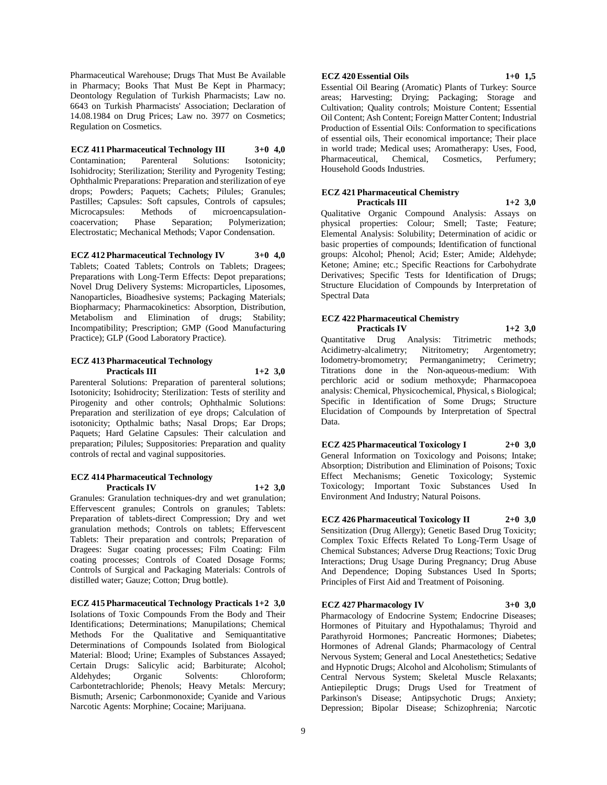Pharmaceutical Warehouse; Drugs That Must Be Available in Pharmacy; Books That Must Be Kept in Pharmacy; Deontology Regulation of Turkish Pharmacists; Law no. 6643 on Turkish Pharmacists' Association; Declaration of 14.08.1984 on Drug Prices; Law no. 3977 on Cosmetics; Regulation on Cosmetics.

**ECZ 411 Pharmaceutical Technology III 3+0 4,0** Contamination; Parenteral Solutions: Isotonicity; Isohidrocity; Sterilization; Sterility and Pyrogenity Testing; Ophthalmic Preparations: Preparation and sterilization of eye drops; Powders; Paquets; Cachets; Pilules; Granules; Pastilles; Capsules: Soft capsules, Controls of capsules; Microcapsules: Methods of microencapsulationcoacervation; Phase Separation; Polymerization; Electrostatic; Mechanical Methods; Vapor Condensation.

**ECZ 412 Pharmaceutical Technology IV 3+0 4,0** Tablets; Coated Tablets; Controls on Tablets; Dragees; Preparations with Long-Term Effects: Depot preparations; Novel Drug Delivery Systems: Microparticles, Liposomes, Nanoparticles, Bioadhesive systems; Packaging Materials; Biopharmacy; Pharmacokinetics: Absorption, Distribution, Metabolism and Elimination of drugs; Stability; Incompatibility; Prescription; GMP (Good Manufacturing Practice); GLP (Good Laboratory Practice).

#### **ECZ 413 Pharmaceutical Technology Practicals III 1+2 3,0**

Parenteral Solutions: Preparation of parenteral solutions; Isotonicity; Isohidrocity; Sterilization: Tests of sterility and Pirogenity and other controls; Ophthalmic Solutions: Preparation and sterilization of eye drops; Calculation of isotonicity; Opthalmic baths; Nasal Drops; Ear Drops; Paquets; Hard Gelatine Capsules: Their calculation and preparation; Pilules; Suppositories: Preparation and quality controls of rectal and vaginal suppositories.

#### **ECZ 414 Pharmaceutical Technology Practicals IV 1+2 3,0**

Granules: Granulation techniques-dry and wet granulation; Effervescent granules; Controls on granules; Tablets: Preparation of tablets-direct Compression; Dry and wet granulation methods; Controls on tablets; Effervescent Tablets: Their preparation and controls; Preparation of Dragees: Sugar coating processes; Film Coating: Film coating processes; Controls of Coated Dosage Forms; Controls of Surgical and Packaging Materials: Controls of distilled water; Gauze; Cotton; Drug bottle).

## **ECZ 415 Pharmaceutical Technology Practicals 1+2 3,0**

Isolations of Toxic Compounds From the Body and Their Identifications; Determinations; Manupilations; Chemical Methods For the Qualitative and Semiquantitative Determinations of Compounds Isolated from Biological Material: Blood; Urine; Examples of Substances Assayed; Certain Drugs: Salicylic acid; Barbiturate; Alcohol; Aldehydes; Organic Solvents: Chloroform; Carbontetrachloride; Phenols; Heavy Metals: Mercury; Bismuth; Arsenic; Carbonmonoxide; Cyanide and Various Narcotic Agents: Morphine; Cocaine; Marijuana.

## **ECZ 420 Essential Oils 1+0 1,5**

Essential Oil Bearing (Aromatic) Plants of Turkey: Source areas; Harvesting; Drying; Packaging; Storage and Cultivation; Quality controls; Moisture Content; Essential Oil Content; Ash Content; Foreign Matter Content; Industrial Production of Essential Oils: Conformation to specifications of essential oils, Their economical importance; Their place in world trade; Medical uses; Aromatherapy: Uses, Food, Pharmaceutical, Chemical, Cosmetics, Perfumery; Household Goods Industries.

### **ECZ 421 Pharmaceutical Chemistry Practicals III 1+2 3,0**

Qualitative Organic Compound Analysis: Assays on physical properties: Colour; Smell; Taste; Feature; Elemental Analysis: Solubility; Determination of acidic or basic properties of compounds; Identification of functional groups: Alcohol; Phenol; Acid; Ester; Amide; Aldehyde; Ketone; Amine; etc.; Specific Reactions for Carbohydrate Derivatives; Specific Tests for Identification of Drugs; Structure Elucidation of Compounds by Interpretation of Spectral Data

#### **ECZ 422 Pharmaceutical Chemistry Practicals IV 1+2 3,0**

Quantitative Drug Analysis: Titrimetric methods; Acidimetry-alcalimetry; Nitritometry; Argentometry; Iodometry-bromometry; Permanganimetry; Cerimetry; Titrations done in the Non-aqueous-medium: With perchloric acid or sodium methoxyde; Pharmacopoea analysis: Chemical, Physicochemical, Physical, s Biological; Specific in Identification of Some Drugs; Structure Elucidation of Compounds by Interpretation of Spectral Data.

**ECZ 425 Pharmaceutical Toxicology I 2+0 3,0** General Information on Toxicology and Poisons; Intake; Absorption; Distribution and Elimination of Poisons; Toxic Effect Mechanisms; Genetic Toxicology; Systemic Toxicology; Important Toxic Substances Used In Environment And Industry; Natural Poisons.

**ECZ 426 Pharmaceutical Toxicology II 2+0 3,0** Sensitization (Drug Allergy); Genetic Based Drug Toxicity; Complex Toxic Effects Related To Long-Term Usage of Chemical Substances; Adverse Drug Reactions; Toxic Drug Interactions; Drug Usage During Pregnancy; Drug Abuse And Dependence; Doping Substances Used In Sports; Principles of First Aid and Treatment of Poisoning.

**ECZ 427 Pharmacology IV 3+0 3,0**

Pharmacology of Endocrine System; Endocrine Diseases; Hormones of Pituitary and Hypothalamus; Thyroid and Parathyroid Hormones; Pancreatic Hormones; Diabetes; Hormones of Adrenal Glands; Pharmacology of Central Nervous System; General and Local Anestethetics; Sedative and Hypnotic Drugs; Alcohol and Alcoholism; Stimulants of Central Nervous System; Skeletal Muscle Relaxants; Antiepileptic Drugs; Drugs Used for Treatment of Parkinson's Disease; Antipsychotic Drugs; Anxiety; Depression; Bipolar Disease; Schizophrenia; Narcotic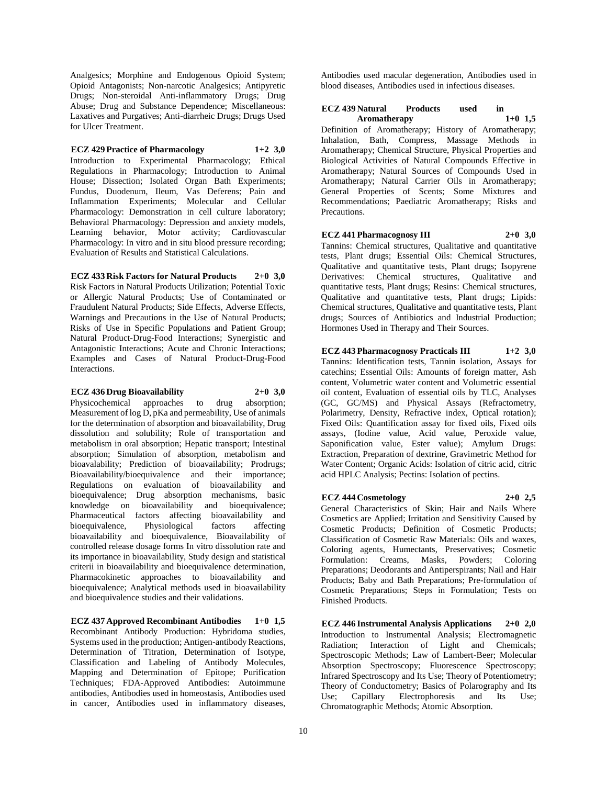Analgesics; Morphine and Endogenous Opioid System; Opioid Antagonists; Non-narcotic Analgesics; Antipyretic Drugs; Non-steroidal Anti-inflammatory Drugs; Drug Abuse; Drug and Substance Dependence; Miscellaneous: Laxatives and Purgatives; Anti-diarrheic Drugs; Drugs Used for Ulcer Treatment.

## **ECZ 429 Practice of Pharmacology 1+2 3,0**

Introduction to Experimental Pharmacology; Ethical Regulations in Pharmacology; Introduction to Animal House; Dissection; Isolated Organ Bath Experiments; Fundus, Duodenum, Ileum, Vas Deferens; Pain and Inflammation Experiments; Molecular and Cellular Pharmacology: Demonstration in cell culture laboratory; Behavioral Pharmacology: Depression and anxiety models, Learning behavior, Motor activity; Cardiovascular Pharmacology: In vitro and in situ blood pressure recording; Evaluation of Results and Statistical Calculations.

## **ECZ 433 Risk Factors for Natural Products 2+0 3,0**

Risk Factors in Natural Products Utilization; Potential Toxic or Allergic Natural Products; Use of Contaminated or Fraudulent Natural Products; Side Effects, Adverse Effects, Warnings and Precautions in the Use of Natural Products; Risks of Use in Specific Populations and Patient Group; Natural Product-Drug-Food Interactions; Synergistic and Antagonistic Interactions; Acute and Chronic Interactions; Examples and Cases of Natural Product-Drug-Food Interactions.

### **ECZ 436 Drug Bioavailability 2+0 3,0**

Physicochemical approaches to drug absorption; Measurement of log D, pKa and permeability, Use of animals for the determination of absorption and bioavailability, Drug dissolution and solubility; Role of transportation and metabolism in oral absorption; Hepatic transport; Intestinal absorption; Simulation of absorption, metabolism and bioavalability; Prediction of bioavailability; Prodrugs; Bioavailability/bioequivalence and their importance; Regulations on evaluation of bioavailability and bioequivalence; Drug absorption mechanisms, basic knowledge on bioavailability and bioequivalence; Pharmaceutical factors affecting bioavailability and bioequivalence, Physiological factors affecting bioavailability and bioequivalence, Bioavailability of controlled release dosage forms In vitro dissolution rate and its importance in bioavailability, Study design and statistical criterii in bioavailability and bioequivalence determination, Pharmacokinetic approaches to bioavailability and bioequivalence; Analytical methods used in bioavailability and bioequivalence studies and their validations.

**ECZ 437 Approved Recombinant Antibodies 1+0 1,5** Recombinant Antibody Production: Hybridoma studies, Systems used in the production; Antigen-antibody Reactions, Determination of Titration, Determination of Isotype, Classification and Labeling of Antibody Molecules, Mapping and Determination of Epitope; Purification Techniques; FDA-Approved Antibodies: Autoimmune antibodies, Antibodies used in homeostasis, Antibodies used in cancer, Antibodies used in inflammatory diseases,

Antibodies used macular degeneration, Antibodies used in blood diseases, Antibodies used in infectious diseases.

## **ECZ 439 Natural Products used in Aromatherapy 1+0 1,5**

Definition of Aromatherapy; History of Aromatherapy; Inhalation, Bath, Compress, Massage Methods in Aromatherapy; Chemical Structure, Physical Properties and Biological Activities of Natural Compounds Effective in Aromatherapy; Natural Sources of Compounds Used in Aromatherapy; Natural Carrier Oils in Aromatherapy; General Properties of Scents; Some Mixtures and Recommendations; Paediatric Aromatherapy; Risks and Precautions.

**ECZ 441 Pharmacognosy III 2+0 3,0** Tannins: Chemical structures, Qualitative and quantitative tests, Plant drugs; Essential Oils: Chemical Structures, Qualitative and quantitative tests, Plant drugs; Isopyrene Derivatives: Chemical structures, Qualitative and quantitative tests, Plant drugs; Resins: Chemical structures, Qualitative and quantitative tests, Plant drugs; Lipids: Chemical structures, Qualitative and quantitative tests, Plant drugs; Sources of Antibiotics and Industrial Production; Hormones Used in Therapy and Their Sources.

## **ECZ 443 Pharmacognosy Practicals III 1+2 3,0**

Tannins: Identification tests, Tannin isolation, Assays for catechins; Essential Oils: Amounts of foreign matter, Ash content, Volumetric water content and Volumetric essential oil content, Evaluation of essential oils by TLC, Analyses (GC, GC/MS) and Physical Assays (Refractometry, Polarimetry, Density, Refractive index, Optical rotation); Fixed Oils: Quantification assay for fixed oils, Fixed oils assays, (Iodine value, Acid value, Peroxide value, Saponification value, Ester value); Amylum Drugs: Extraction, Preparation of dextrine, Gravimetric Method for Water Content; Organic Acids: Isolation of citric acid, citric acid HPLC Analysis; Pectins: Isolation of pectins.

#### **ECZ 444 Cosmetology 2+0 2,5**

General Characteristics of Skin; Hair and Nails Where Cosmetics are Applied; Irritation and Sensitivity Caused by Cosmetic Products; Definition of Cosmetic Products; Classification of Cosmetic Raw Materials: Oils and waxes, Coloring agents, Humectants, Preservatives; Cosmetic Formulation: Creams, Masks, Powders; Coloring Preparations; Deodorants and Antiperspirants; Nail and Hair Products; Baby and Bath Preparations; Pre-formulation of Cosmetic Preparations; Steps in Formulation; Tests on Finished Products.

**ECZ 446 Instrumental Analysis Applications 2+0 2,0** Introduction to Instrumental Analysis; Electromagnetic Radiation; Interaction of Light and Chemicals; Spectroscopic Methods; Law of Lambert-Beer; Molecular Absorption Spectroscopy; Fluorescence Spectroscopy; Infrared Spectroscopy and Its Use; Theory of Potentiometry; Theory of Conductometry; Basics of Polarography and Its Use; Capillary Electrophoresis and Its Use; Chromatographic Methods; Atomic Absorption.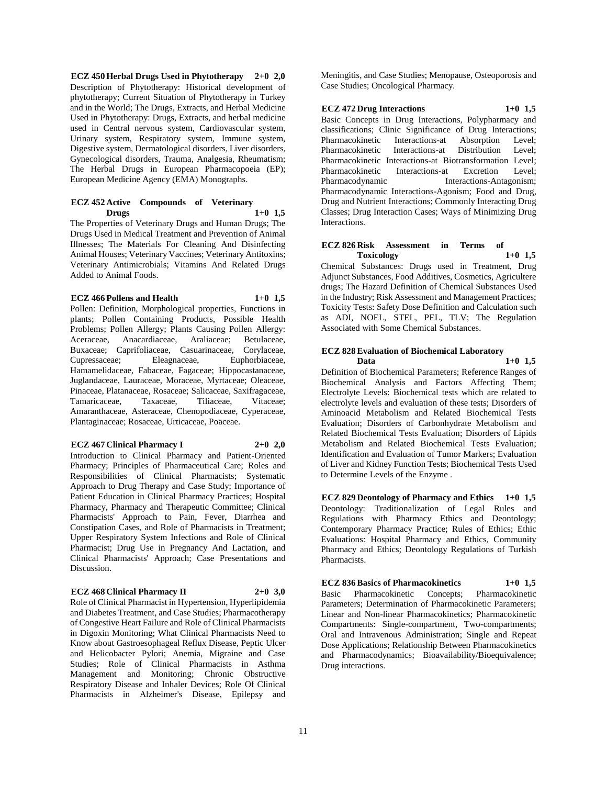**ECZ 450 Herbal Drugs Used in Phytotherapy 2+0 2,0** Description of Phytotherapy: Historical development of phytotherapy; Current Situation of Phytotherapy in Turkey and in the World; The Drugs, Extracts, and Herbal Medicine Used in Phytotherapy: Drugs, Extracts, and herbal medicine used in Central nervous system, Cardiovascular system, Urinary system, Respiratory system, Immune system, Digestive system, Dermatological disorders, Liver disorders, Gynecological disorders, Trauma, Analgesia, Rheumatism; The Herbal Drugs in European Pharmacopoeia (EP); European Medicine Agency (EMA) Monographs.

### **ECZ 452 Active Compounds of Veterinary Drugs 1+0 1,5**

The Properties of Veterinary Drugs and Human Drugs; The Drugs Used in Medical Treatment and Prevention of Animal Illnesses; The Materials For Cleaning And Disinfecting Animal Houses; Veterinary Vaccines; Veterinary Antitoxins; Veterinary Antimicrobials; Vitamins And Related Drugs Added to Animal Foods.

#### **ECZ 466 Pollens and Health 1+0 1,5**

Pollen: Definition, Morphological properties, Functions in plants; Pollen Containing Products, Possible Health Problems; Pollen Allergy; Plants Causing Pollen Allergy: Aceraceae, Anacardiaceae, Araliaceae; Betulaceae, Buxaceae; Caprifoliaceae, Casuarinaceae, Corylaceae, Cupressaceae; Eleagnaceae, Euphorbiaceae, Hamamelidaceae, Fabaceae, Fagaceae; Hippocastanaceae, Juglandaceae, Lauraceae, Moraceae, Myrtaceae; Oleaceae, Pinaceae, Platanaceae, Rosaceae; Salicaceae, Saxifragaceae, Tamaricaceae, Taxaceae, Tiliaceae, Vitaceae; Amaranthaceae, Asteraceae, Chenopodiaceae, Cyperaceae, Plantaginaceae; Rosaceae, Urticaceae, Poaceae.

#### **ECZ 467 Clinical Pharmacy I 2+0 2,0**

Introduction to Clinical Pharmacy and Patient-Oriented Pharmacy; Principles of Pharmaceutical Care; Roles and Responsibilities of Clinical Pharmacists; Systematic Approach to Drug Therapy and Case Study; Importance of Patient Education in Clinical Pharmacy Practices; Hospital Pharmacy, Pharmacy and Therapeutic Committee; Clinical Pharmacists' Approach to Pain, Fever, Diarrhea and Constipation Cases, and Role of Pharmacists in Treatment; Upper Respiratory System Infections and Role of Clinical Pharmacist; Drug Use in Pregnancy And Lactation, and Clinical Pharmacists' Approach; Case Presentations and Discussion.

## **ECZ 468 Clinical Pharmacy II 2+0 3,0**

Role of Clinical Pharmacist in Hypertension, Hyperlipidemia and Diabetes Treatment, and Case Studies; Pharmacotherapy of Congestive Heart Failure and Role of Clinical Pharmacists in Digoxin Monitoring; What Clinical Pharmacists Need to Know about Gastroesophageal Reflux Disease, Peptic Ulcer and Helicobacter Pylori; Anemia, Migraine and Case Studies; Role of Clinical Pharmacists in Asthma Management and Monitoring; Chronic Obstructive Respiratory Disease and Inhaler Devices; Role Of Clinical Pharmacists in Alzheimer's Disease, Epilepsy and

Meningitis, and Case Studies; Menopause, Osteoporosis and Case Studies; Oncological Pharmacy.

## **ECZ 472 Drug Interactions 1+0 1,5**

Basic Concepts in Drug Interactions, Polypharmacy and classifications; Clinic Significance of Drug Interactions; Pharmacokinetic Interactions-at Absorption Level; Pharmacokinetic Interactions-at Distribution Level; Pharmacokinetic Interactions-at Biotransformation Level; Pharmacokinetic Interactions-at Excretion Level; Pharmacodynamic Interactions-Antagonism; Pharmacodynamic Interactions-Agonism; Food and Drug, Drug and Nutrient Interactions; Commonly Interacting Drug Classes; Drug Interaction Cases; Ways of Minimizing Drug Interactions.

### **ECZ 826 Risk Assessment in Terms of Toxicology 1+0 1,5**

Chemical Substances: Drugs used in Treatment, Drug Adjunct Substances, Food Additives, Cosmetics, Agricultere drugs; The Hazard Definition of Chemical Substances Used in the Industry; Risk Assessment and Management Practices; Toxicity Tests: Safety Dose Definition and Calculation such as ADI, NOEL, STEL, PEL, TLV; The Regulation Associated with Some Chemical Substances.

## **ECZ 828 Evaluation of Biochemical Laboratory Data 1+0 1,5**

Definition of Biochemical Parameters; Reference Ranges of Biochemical Analysis and Factors Affecting Them; Electrolyte Levels: Biochemical tests which are related to electrolyte levels and evaluation of these tests; Disorders of Aminoacid Metabolism and Related Biochemical Tests Evaluation; Disorders of Carbonhydrate Metabolism and Related Biochemical Tests Evaluation; Disorders of Lipids Metabolism and Related Biochemical Tests Evaluation; Identification and Evaluation of Tumor Markers; Evaluation of Liver and Kidney Function Tests; Biochemical Tests Used to Determine Levels of the Enzyme .

**ECZ 829 Deontology of Pharmacy and Ethics 1+0 1,5** Deontology: Traditionalization of Legal Rules and Regulations with Pharmacy Ethics and Deontology; Contemporary Pharmacy Practice; Rules of Ethics; Ethic Evaluations: Hospital Pharmacy and Ethics, Community Pharmacy and Ethics; Deontology Regulations of Turkish Pharmacists.

## **ECZ 836 Basics of Pharmacokinetics 1+0 1,5**

Basic Pharmacokinetic Concepts; Pharmacokinetic Parameters; Determination of Pharmacokinetic Parameters; Linear and Non-linear Pharmacokinetics; Pharmacokinetic Compartments: Single-compartment, Two-compartments; Oral and Intravenous Administration; Single and Repeat Dose Applications; Relationship Between Pharmacokinetics and Pharmacodynamics; Bioavailability/Bioequivalence; Drug interactions.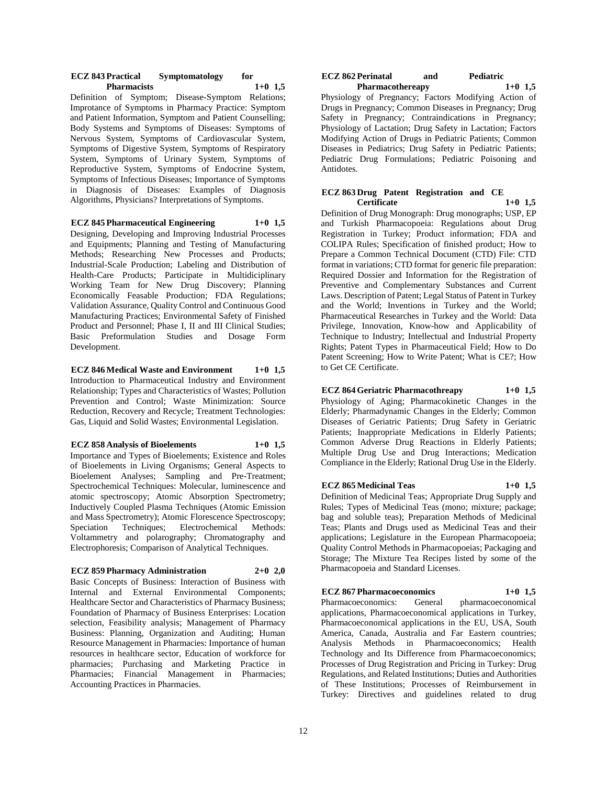#### **ECZ 843 Practical Symptomatology for Pharmacists**

Definition of Symptom; Disease-Symptom Relations; Improtance of Symptoms in Pharmacy Practice: Symptom and Patient Information, Symptom and Patient Counselling; Body Systems and Symptoms of Diseases: Symptoms of Nervous System, Symptoms of Cardiovascular System, Symptoms of Digestive System, Symptoms of Respiratory System, Symptoms of Urinary System, Symptoms of Reproductive System, Symptoms of Endocrine System, Symptoms of Infectious Diseases; Importance of Symptoms in Diagnosis of Diseases: Examples of Diagnosis Algorithms, Physicians? Interpretations of Symptoms.

## **ECZ 845 Pharmaceutical Engineering 1+0 1,5**

Designing, Developing and Improving Industrial Processes and Equipments; Planning and Testing of Manufacturing Methods; Researching New Processes and Products; Industrial-Scale Production; Labeling and Distribution of Health-Care Products; Participate in Multidiciplinary Working Team for New Drug Discovery; Planning Economically Feasable Production; FDA Regulations; Validation Assurance, Quality Control and Continuous Good Manufacturing Practices; Environmental Safety of Finished Product and Personnel; Phase I, II and III Clinical Studies; Basic Preformulation Studies and Dosage Form Development.

**ECZ 846 Medical Waste and Environment 1+0 1,5** Introduction to Pharmaceutical Industry and Environment Relationship; Types and Characteristics of Wastes; Pollution Prevention and Control; Waste Minimization: Source Reduction, Recovery and Recycle; Treatment Technologies: Gas, Liquid and Solid Wastes; Environmental Legislation.

#### **ECZ 858 Analysis of Bioelements 1+0 1,5**

Importance and Types of Bioelements; Existence and Roles of Bioelements in Living Organisms; General Aspects to Bioelement Analyses; Sampling and Pre-Treatment; Spectrochemical Techniques: Molecular, luminescence and atomic spectroscopy; Atomic Absorption Spectrometry; Inductively Coupled Plasma Techniques (Atomic Emission and Mass Spectrometry); Atomic Florescence Spectroscopy; Speciation Techniques; Electrochemical Methods: Voltammetry and polarography; Chromatography and Electrophoresis; Comparison of Analytical Techniques.

## **ECZ 859 Pharmacy Administration 2+0 2,0**

Basic Concepts of Business: Interaction of Business with Internal and External Environmental Components; Healthcare Sector and Characteristics of Pharmacy Business; Foundation of Pharmacy of Business Enterprises: Location selection, Feasibility analysis; Management of Pharmacy Business: Planning, Organization and Auditing; Human Resource Management in Pharmacies: Importance of human resources in healthcare sector, Education of workforce for pharmacies; Purchasing and Marketing Practice in Pharmacies; Financial Management in Pharmacies; Accounting Practices in Pharmacies.

#### **ECZ 862 Perinatal and Pediatric Pharmacothereapy**

Physiology of Pregnancy; Factors Modifying Action of Drugs in Pregnancy; Common Diseases in Pregnancy; Drug Safety in Pregnancy; Contraindications in Pregnancy; Physiology of Lactation; Drug Safety in Lactation; Factors Modifying Action of Drugs in Pediatric Patients; Common Diseases in Pediatrics; Drug Safety in Pediatric Patients; Pediatric Drug Formulations; Pediatric Poisoning and Antidotes.

### **ECZ 863 Drug Patent Registration and CE Certificate 1+0 1,5**

Definition of Drug Monograph: Drug monographs; USP, EP and Turkish Pharmacopoeia: Regulations about Drug Registration in Turkey; Product information; FDA and COLIPA Rules; Specification of finished product; How to Prepare a Common Technical Document (CTD) File: CTD format in variations; CTD format for generic file preparation: Required Dossier and Information for the Registration of Preventive and Complementary Substances and Current Laws. Description of Patent; Legal Status of Patent in Turkey and the World; Inventions in Turkey and the World; Pharmaceutical Researches in Turkey and the World: Data Privilege, Innovation, Know-how and Applicability of Technique to Industry; Intellectual and Industrial Property Rights; Patent Types in Pharmaceutical Field; How to Do Patent Screening; How to Write Patent; What is CE?; How to Get CE Certificate.

## **ECZ 864 Geriatric Pharmacothreapy 1+0 1,5**

Physiology of Aging; Pharmacokinetic Changes in the Elderly; Pharmadynamic Changes in the Elderly; Common Diseases of Geriatric Patients; Drug Safety in Geriatric Patients; Inappropriate Medications in Elderly Patients; Common Adverse Drug Reactions in Elderly Patients; Multiple Drug Use and Drug Interactions; Medication Compliance in the Elderly; Rational Drug Use in the Elderly.

#### **ECZ 865 Medicinal Teas 1+0 1,5**

Definition of Medicinal Teas; Appropriate Drug Supply and Rules; Types of Medicinal Teas (mono; mixture; package; bag and soluble teas); Preparation Methods of Medicinal Teas; Plants and Drugs used as Medicinal Teas and their applications; Legislature in the European Pharmacopoeia; Quality Control Methods in Pharmacopoeias; Packaging and Storage; The Mixture Tea Recipes listed by some of the Pharmacopoeia and Standard Licenses.

### **ECZ 867 Pharmacoeconomics 1+0 1,5**

Pharmacoeconomics: General pharmacoeconomical applications, Pharmacoeconomical applications in Turkey, Pharmacoeconomical applications in the EU, USA, South America, Canada, Australia and Far Eastern countries; Analysis Methods in Pharmacoeconomics; Health Technology and Its Difference from Pharmacoeconomics; Processes of Drug Registration and Pricing in Turkey: Drug Regulations, and Related Institutions; Duties and Authorities of These Institutions; Processes of Reimbursement in Turkey: Directives and guidelines related to drug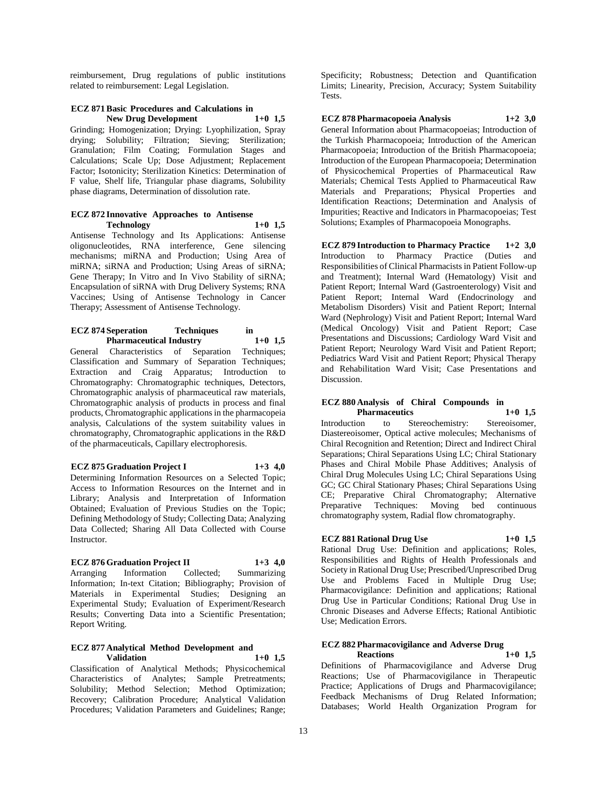reimbursement, Drug regulations of public institutions related to reimbursement: Legal Legislation.

## **ECZ 871 Basic Procedures and Calculations in New Drug Development**

Grinding; Homogenization; Drying: Lyophilization, Spray drying; Solubility; Filtration; Sieving; Sterilization; Granulation; Film Coating; Formulation Stages and Calculations; Scale Up; Dose Adjustment; Replacement Factor; Isotonicity; Sterilization Kinetics: Determination of F value, Shelf life, Triangular phase diagrams, Solubility phase diagrams, Determination of dissolution rate.

#### **ECZ 872 Innovative Approaches to Antisense Technology 1+0 1,5**

Antisense Technology and Its Applications: Antisense oligonucleotides, RNA interference, Gene silencing mechanisms; miRNA and Production; Using Area of miRNA; siRNA and Production; Using Areas of siRNA; Gene Therapy; In Vitro and In Vivo Stability of siRNA; Encapsulation of siRNA with Drug Delivery Systems; RNA Vaccines; Using of Antisense Technology in Cancer Therapy; Assessment of Antisense Technology.

#### **ECZ 874 Seperation Techniques in Pharmaceutical Industry 1+0 1,5**

General Characteristics of Separation Techniques; Classification and Summary of Separation Techniques; Extraction and Craig Apparatus; Introduction to Chromatography: Chromatographic techniques, Detectors, Chromatographic analysis of pharmaceutical raw materials, Chromatographic analysis of products in process and final products, Chromatographic applications in the pharmacopeia analysis, Calculations of the system suitability values in chromatography, Chromatographic applications in the R&D of the pharmaceuticals, Capillary electrophoresis.

**ECZ 875 Graduation Project I 1+3 4,0** Determining Information Resources on a Selected Topic; Access to Information Resources on the Internet and in Library; Analysis and Interpretation of Information Obtained; Evaluation of Previous Studies on the Topic; Defining Methodology of Study; Collecting Data; Analyzing Data Collected; Sharing All Data Collected with Course Instructor.

### **ECZ 876 Graduation Project II 1+3 4,0**

Arranging Information Collected; Summarizing Information; In-text Citation; Bibliography; Provision of Materials in Experimental Studies; Designing an Experimental Study; Evaluation of Experiment/Research Results; Converting Data into a Scientific Presentation; Report Writing.

#### **ECZ 877 Analytical Method Development and Validation 1+0 1,5**

Classification of Analytical Methods; Physicochemical Characteristics of Analytes; Sample Pretreatments; Solubility; Method Selection; Method Optimization; Recovery; Calibration Procedure; Analytical Validation Procedures; Validation Parameters and Guidelines; Range;

Specificity; Robustness; Detection and Quantification Limits; Linearity, Precision, Accuracy; System Suitability Tests.

## **ECZ 878 Pharmacopoeia Analysis 1+2 3,0**

General Information about Pharmacopoeias; Introduction of the Turkish Pharmacopoeia; Introduction of the American Pharmacopoeia; Introduction of the British Pharmacopoeia; Introduction of the European Pharmacopoeia; Determination of Physicochemical Properties of Pharmaceutical Raw Materials; Chemical Tests Applied to Pharmaceutical Raw Materials and Preparations; Physical Properties and Identification Reactions; Determination and Analysis of Impurities; Reactive and Indicators in Pharmacopoeias; Test Solutions; Examples of Pharmacopoeia Monographs.

**ECZ 879 Introduction to Pharmacy Practice 1+2 3,0** Introduction to Pharmacy Practice (Duties and Responsibilities of Clinical Pharmacists in Patient Follow-up and Treatment); Internal Ward (Hematology) Visit and Patient Report; Internal Ward (Gastroenterology) Visit and Patient Report; Internal Ward (Endocrinology and Metabolism Disorders) Visit and Patient Report; Internal Ward (Nephrology) Visit and Patient Report; Internal Ward (Medical Oncology) Visit and Patient Report; Case Presentations and Discussions; Cardiology Ward Visit and Patient Report; Neurology Ward Visit and Patient Report; Pediatrics Ward Visit and Patient Report; Physical Therapy and Rehabilitation Ward Visit; Case Presentations and Discussion.

#### **ECZ 880 Analysis of Chiral Compounds in Pharmaceutics**

Introduction to Stereochemistry: Stereoisomer, Diastereoisomer, Optical active molecules; Mechanisms of Chiral Recognition and Retention; Direct and Indirect Chiral Separations; Chiral Separations Using LC; Chiral Stationary Phases and Chiral Mobile Phase Additives; Analysis of Chiral Drug Molecules Using LC; Chiral Separations Using GC; GC Chiral Stationary Phases; Chiral Separations Using CE; Preparative Chiral Chromatography; Alternative Preparative Techniques: Moving bed continuous chromatography system, Radial flow chromatography.

## **ECZ 881 Rational Drug Use 1+0 1,5**

Rational Drug Use: Definition and applications; Roles, Responsibilities and Rights of Health Professionals and Society in Rational Drug Use; Prescribed/Unprescribed Drug Use and Problems Faced in Multiple Drug Use; Pharmacovigilance: Definition and applications; Rational Drug Use in Particular Conditions; Rational Drug Use in Chronic Diseases and Adverse Effects; Rational Antibiotic Use; Medication Errors.

## **ECZ 882 Pharmacovigilance and Adverse Drug**

**Reactions 1+0 1,5** Definitions of Pharmacovigilance and Adverse Drug Reactions; Use of Pharmacovigilance in Therapeutic Practice; Applications of Drugs and Pharmacovigilance; Feedback Mechanisms of Drug Related Information; Databases; World Health Organization Program for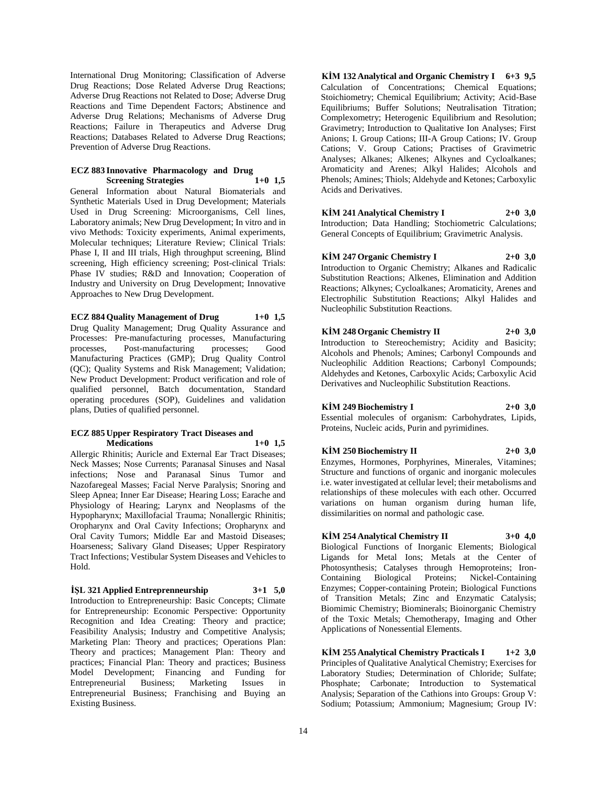International Drug Monitoring; Classification of Adverse Drug Reactions; Dose Related Adverse Drug Reactions; Adverse Drug Reactions not Related to Dose; Adverse Drug Reactions and Time Dependent Factors; Abstinence and Adverse Drug Relations; Mechanisms of Adverse Drug Reactions; Failure in Therapeutics and Adverse Drug Reactions; Databases Related to Adverse Drug Reactions; Prevention of Adverse Drug Reactions.

#### **ECZ 883 Innovative Pharmacology and Drug Screening Strategies 1+0 1,5**

General Information about Natural Biomaterials and Synthetic Materials Used in Drug Development; Materials Used in Drug Screening: Microorganisms, Cell lines, Laboratory animals; New Drug Development; In vitro and in vivo Methods: Toxicity experiments, Animal experiments, Molecular techniques; Literature Review; Clinical Trials: Phase I, II and III trials, High throughput screening, Blind screening, High efficiency screening; Post-clinical Trials: Phase IV studies; R&D and Innovation; Cooperation of Industry and University on Drug Development; Innovative Approaches to New Drug Development.

## **ECZ 884 Quality Management of Drug 1+0 1,5**

Drug Quality Management; Drug Quality Assurance and Processes: Pre-manufacturing processes, Manufacturing processes, Post-manufacturing processes; Good Manufacturing Practices (GMP); Drug Quality Control (QC); Quality Systems and Risk Management; Validation; New Product Development: Product verification and role of qualified personnel, Batch documentation, Standard operating procedures (SOP), Guidelines and validation plans, Duties of qualified personnel.

#### **ECZ 885 Upper Respiratory Tract Diseases and Medications 1+0 1,5**

Allergic Rhinitis; Auricle and External Ear Tract Diseases; Neck Masses; Nose Currents; Paranasal Sinuses and Nasal infections; Nose and Paranasal Sinus Tumor and Nazofaregeal Masses; Facial Nerve Paralysis; Snoring and Sleep Apnea; Inner Ear Disease; Hearing Loss; Earache and Physiology of Hearing; Larynx and Neoplasms of the Hypopharynx; Maxillofacial Trauma; Nonallergic Rhinitis; Oropharynx and Oral Cavity Infections; Oropharynx and Oral Cavity Tumors; Middle Ear and Mastoid Diseases; Hoarseness; Salivary Gland Diseases; Upper Respiratory Tract Infections; Vestibular System Diseases and Vehicles to Hold.

**İŞL 321 Applied Entreprenneurship 3+1 5,0** Introduction to Entrepreneurship: Basic Concepts; Climate for Entrepreneurship: Economic Perspective: Opportunity Recognition and Idea Creating: Theory and practice; Feasibility Analysis; Industry and Competitive Analysis; Marketing Plan: Theory and practices; Operations Plan: Theory and practices; Management Plan: Theory and practices; Financial Plan: Theory and practices; Business Model Development; Financing and Funding for Entrepreneurial Business; Marketing Issues in Entrepreneurial Business; Franchising and Buying an Existing Business.

**KİM 132 Analytical and Organic Chemistry I 6+3 9,5** Calculation of Concentrations; Chemical Equations; Stoichiometry; Chemical Equilibrium; Activity; Acid-Base Equilibriums; Buffer Solutions; Neutralisation Titration; Complexometry; Heterogenic Equilibrium and Resolution; Gravimetry; Introduction to Qualitative Ion Analyses; First Anions; I. Group Cations; III-A Group Cations; IV. Group Cations; V. Group Cations; Practises of Gravimetric Analyses; Alkanes; Alkenes; Alkynes and Cycloalkanes; Aromaticity and Arenes; Alkyl Halides; Alcohols and Phenols; Amines; Thiols; Aldehyde and Ketones; Carboxylic Acids and Derivatives.

## **KİM 241 Analytical Chemistry I 2+0 3,0**

Introduction; Data Handling; Stochiometric Calculations; General Concepts of Equilibrium; Gravimetric Analysis.

## **KİM 247 Organic Chemistry I 2+0 3,0**

Introduction to Organic Chemistry; Alkanes and Radicalic Substitution Reactions; Alkenes, Elimination and Addition Reactions; Alkynes; Cycloalkanes; Aromaticity, Arenes and Electrophilic Substitution Reactions; Alkyl Halides and Nucleophilic Substitution Reactions.

### **KİM 248 Organic Chemistry II 2+0 3,0**

Introduction to Stereochemistry; Acidity and Basicity; Alcohols and Phenols; Amines; Carbonyl Compounds and Nucleophilic Addition Reactions; Carbonyl Compounds; Aldehydes and Ketones, Carboxylic Acids; Carboxylic Acid Derivatives and Nucleophilic Substitution Reactions.

## **KİM 249 Biochemistry I 2+0 3,0**

Essential molecules of organism: Carbohydrates, Lipids, Proteins, Nucleic acids, Purin and pyrimidines.

### **KİM 250 Biochemistry II 2+0 3,0**

Enzymes, Hormones, Porphyrines, Minerales, Vitamines; Structure and functions of organic and inorganic molecules i.e. water investigated at cellular level; their metabolisms and relationships of these molecules with each other. Occurred variations on human organism during human life, dissimilarities on normal and pathologic case.

#### **KİM 254 Analytical Chemistry II 3+0 4,0**

Biological Functions of Inorganic Elements; Biological Ligands for Metal Ions; Metals at the Center of Photosynthesis; Catalyses through Hemoproteins; Iron-Containing Biological Proteins; Nickel-Containing Enzymes; Copper-containing Protein; Biological Functions of Transition Metals; Zinc and Enzymatic Catalysis; Biomimic Chemistry; Biominerals; Bioinorganic Chemistry of the Toxic Metals; Chemotherapy, Imaging and Other Applications of Nonessential Elements.

**KİM 255 Analytical Chemistry Practicals I 1+2 3,0** Principles of Qualitative Analytical Chemistry; Exercises for Laboratory Studies; Determination of Chloride; Sulfate; Phosphate; Carbonate; Introduction to Systematical Analysis; Separation of the Cathions into Groups: Group V: Sodium; Potassium; Ammonium; Magnesium; Group IV: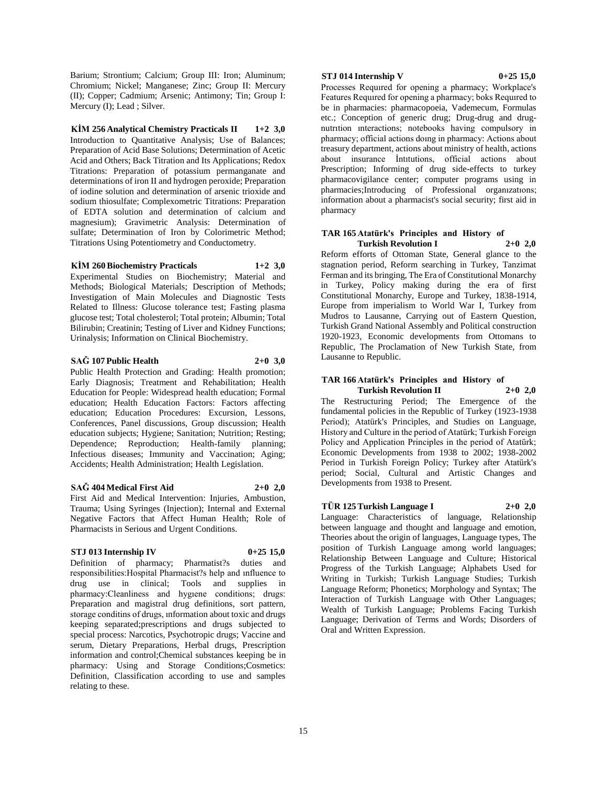Barium; Strontium; Calcium; Group III: Iron; Aluminum; Chromium; Nickel; Manganese; Zinc; Group II: Mercury (II); Copper; Cadmium; Arsenic; Antimony; Tin; Group I: Mercury (I); Lead ; Silver.

**KİM 256 Analytical Chemistry Practicals II 1+2 3,0** Introduction to Quantitative Analysis; Use of Balances; Preparation of Acid Base Solutions; Determination of Acetic Acid and Others; Back Titration and Its Applications; Redox Titrations: Preparation of potassium permanganate and determinations of iron II and hydrogen peroxide; Preparation of iodine solution and determination of arsenic trioxide and sodium thiosulfate; Complexometric Titrations: Preparation of EDTA solution and determination of calcium and magnesium); Gravimetric Analysis: Determination of sulfate; Determination of Iron by Colorimetric Method; Titrations Using Potentiometry and Conductometry.

#### **KİM 260 Biochemistry Practicals 1+2 3,0**

Experimental Studies on Biochemistry; Material and Methods; Biological Materials; Description of Methods; Investigation of Main Molecules and Diagnostic Tests Related to Illness: Glucose tolerance test; Fasting plasma glucose test; Total cholesterol; Total protein; Albumin; Total Bilirubin; Creatinin; Testing of Liver and Kidney Functions; Urinalysis; Information on Clinical Biochemistry.

#### **SAĞ 107 Public Health 2+0 3,0**

Public Health Protection and Grading: Health promotion; Early Diagnosis; Treatment and Rehabilitation; Health Education for People: Widespread health education; Formal education; Health Education Factors: Factors affecting education; Education Procedures: Excursion, Lessons, Conferences, Panel discussions, Group discussion; Health education subjects; Hygiene; Sanitation; Nutrition; Resting; Dependence; Reproduction; Health-family planning; Infectious diseases; Immunity and Vaccination; Aging; Accidents; Health Administration; Health Legislation.

## **SAĞ 404 Medical First Aid 2+0 2,0**

First Aid and Medical Intervention: Injuries, Ambustion, Trauma; Using Syringes (Injection); Internal and External Negative Factors that Affect Human Health; Role of Pharmacists in Serious and Urgent Conditions.

#### **STJ 013 Internship IV 0+25 15,0**

Definition of pharmacy; Pharmatist?s duties and responsibilities:Hospital Pharmacist?s help and ınfluence to drug use in clinical; Tools and supplies in pharmacy:Cleanliness and hygıene conditions; drugs: Preparation and magistral drug definitions, sort pattern, storage conditins of drugs, ınformation about toxic and drugs keeping separated;prescriptions and drugs subjected to special process: Narcotics, Psychotropic drugs; Vaccine and serum, Dietary Preparations, Herbal drugs, Prescription information and control;Chemical substances keeping be in pharmacy: Using and Storage Conditions; Cosmetics: Definition, Classification according to use and samples relating to these.

## **STJ 014 Internship V 0+25 15,0**

Processes Requıred for opening a pharmacy; Workplace's Features Requıred for opening a pharmacy; boks Requıred to be in pharmacies: pharmacopoeia, Vademecum, Formulas etc.; Conception of generic drug; Drug-drug and drugnutrıtion ınteractions; notebooks having compulsory in pharmacy; official actions doıng in pharmacy: Actions about treasury department, actions about ministry of health, actions about insurance İntıtutions, official actions about Prescription; Informing of drug side-effects to turkey pharmacovigilance center; computer programs using in pharmacies;Introducing of Professional organızatıons; information about a pharmacist's social security; first aid in pharmacy

#### **TAR 165 Atatürk's Principles and History of Turkish Revolution I 2+0 2,0**

Reform efforts of Ottoman State, General glance to the stagnation period, Reform searching in Turkey, Tanzimat Ferman and its bringing, The Era of Constitutional Monarchy in Turkey, Policy making during the era of first Constitutional Monarchy, Europe and Turkey, 1838-1914, Europe from imperialism to World War I, Turkey from Mudros to Lausanne, Carrying out of Eastern Question, Turkish Grand National Assembly and Political construction 1920-1923, Economic developments from Ottomans to Republic, The Proclamation of New Turkish State, from Lausanne to Republic.

#### **TAR 166 Atatürk's Principles and History of Turkish Revolution II 2+0 2,0**

The Restructuring Period; The Emergence of the fundamental policies in the Republic of Turkey (1923-1938 Period); Atatürk's Principles, and Studies on Language, History and Culture in the period of Atatürk; Turkish Foreign Policy and Application Principles in the period of Atatürk; Economic Developments from 1938 to 2002; 1938-2002 Period in Turkish Foreign Policy; Turkey after Atatürk's period; Social, Cultural and Artistic Changes and Developments from 1938 to Present.

## **TÜR 125 Turkish Language I 2+0 2,0**

Language: Characteristics of language, Relationship between language and thought and language and emotion, Theories about the origin of languages, Language types, The position of Turkish Language among world languages; Relationship Between Language and Culture; Historical Progress of the Turkish Language; Alphabets Used for Writing in Turkish; Turkish Language Studies; Turkish Language Reform; Phonetics; Morphology and Syntax; The Interaction of Turkish Language with Other Languages; Wealth of Turkish Language; Problems Facing Turkish Language; Derivation of Terms and Words; Disorders of Oral and Written Expression.